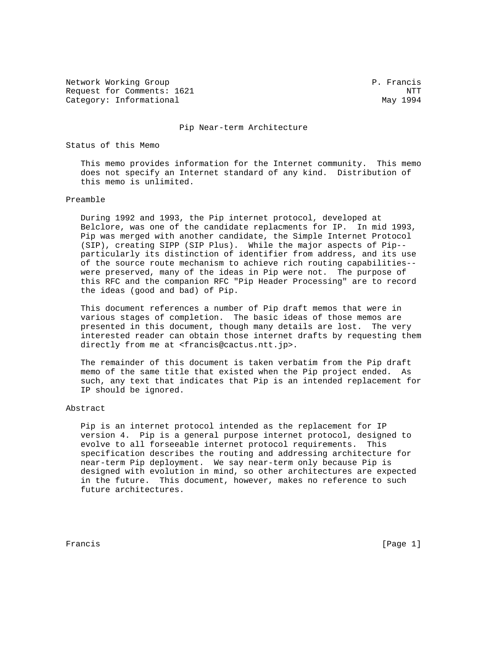Network Working Group **P. Francis** Request for Comments: 1621 NTT Category: Informational May 1994

#### Pip Near-term Architecture

Status of this Memo

 This memo provides information for the Internet community. This memo does not specify an Internet standard of any kind. Distribution of this memo is unlimited.

#### Preamble

 During 1992 and 1993, the Pip internet protocol, developed at Belclore, was one of the candidate replacments for IP. In mid 1993, Pip was merged with another candidate, the Simple Internet Protocol (SIP), creating SIPP (SIP Plus). While the major aspects of Pip- particularly its distinction of identifier from address, and its use of the source route mechanism to achieve rich routing capabilities- were preserved, many of the ideas in Pip were not. The purpose of this RFC and the companion RFC "Pip Header Processing" are to record the ideas (good and bad) of Pip.

 This document references a number of Pip draft memos that were in various stages of completion. The basic ideas of those memos are presented in this document, though many details are lost. The very interested reader can obtain those internet drafts by requesting them directly from me at <francis@cactus.ntt.jp>.

 The remainder of this document is taken verbatim from the Pip draft memo of the same title that existed when the Pip project ended. As such, any text that indicates that Pip is an intended replacement for IP should be ignored.

#### Abstract

 Pip is an internet protocol intended as the replacement for IP version 4. Pip is a general purpose internet protocol, designed to evolve to all forseeable internet protocol requirements. This specification describes the routing and addressing architecture for near-term Pip deployment. We say near-term only because Pip is designed with evolution in mind, so other architectures are expected in the future. This document, however, makes no reference to such future architectures.

Francis [Page 1]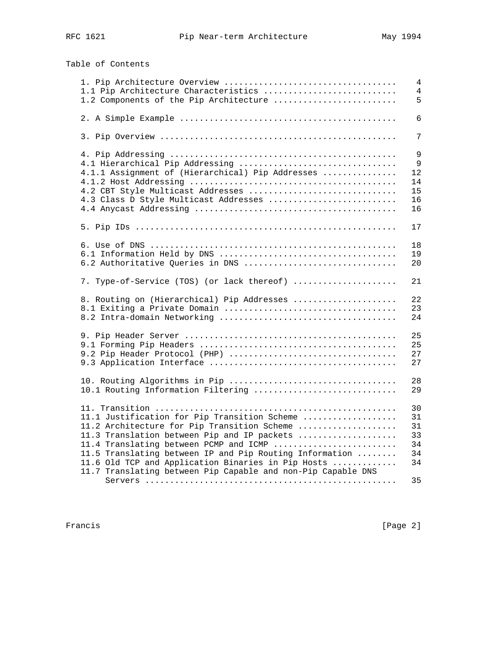Table of Contents

 1. Pip Architecture Overview ................................... 4 1.1 Pip Architecture Characteristics ........................... 4 1.2 Components of the Pip Architecture ......................... 5 2. A Simple Example ............................................ 6 3. Pip Overview ................................................ 7 4. Pip Addressing .............................................. 9 4.1 Hierarchical Pip Addressing ................................ 9 4.1.1 Assignment of (Hierarchical) Pip Addresses ............... 12 4.1.2 Host Addressing .......................................... 14 4.2 CBT Style Multicast Addresses .............................. 15 4.3 Class D Style Multicast Addresses .......................... 16 4.4 Anycast Addressing ......................................... 16 5. Pip IDs ..................................................... 17 6. Use of DNS .................................................. 18 6.1 Information Held by DNS .................................... 19 6.2 Authoritative Queries in DNS ............................... 20 7. Type-of-Service (TOS) (or lack thereof) ..................... 21 8. Routing on (Hierarchical) Pip Addresses ..................... 22 8.1 Exiting a Private Domain ................................... 23 8.2 Intra-domain Networking .................................... 24 9. Pip Header Server ........................................... 25 9.1 Forming Pip Headers ........................................ 25 9.2 Pip Header Protocol (PHP) .................................. 27 9.3 Application Interface ...................................... 27 10. Routing Algorithms in Pip .................................. 28 10.1 Routing Information Filtering ............................. 29 11. Transition ................................................. 30 11.1 Justification for Pip Transition Scheme ................... 31 11.2 Architecture for Pip Transition Scheme .................... 31 11.3 Translation between Pip and IP packets .................... 33 11.4 Translating between PCMP and ICMP ......................... 34 11.5 Translating between IP and Pip Routing Information ........ 34 11.6 Old TCP and Application Binaries in Pip Hosts ............. 34 11.7 Translating between Pip Capable and non-Pip Capable DNS Servers ................................................... 35

Francis [Page 2]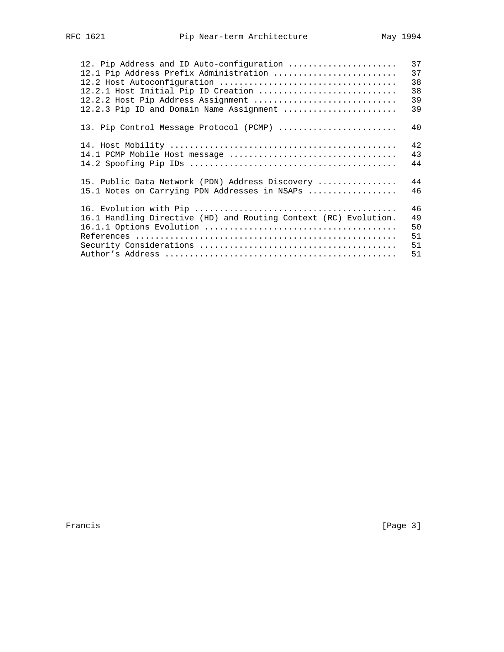| 12. Pip Address and ID Auto-configuration<br>12.1 Pip Address Prefix Administration<br>12.2.1 Host Initial Pip ID Creation<br>12.2.2 Host Pip Address Assignment<br>12.2.3 Pip ID and Domain Name Assignment | 37<br>37<br>38<br>38<br>39<br>39 |
|--------------------------------------------------------------------------------------------------------------------------------------------------------------------------------------------------------------|----------------------------------|
| 13. Pip Control Message Protocol (PCMP)                                                                                                                                                                      | 40                               |
| 14.1 PCMP Mobile Host message                                                                                                                                                                                | 42<br>43<br>44                   |
| 15. Public Data Network (PDN) Address Discovery<br>15.1 Notes on Carrying PDN Addresses in NSAPs                                                                                                             | 44<br>46                         |
| 16.1 Handling Directive (HD) and Routing Context (RC) Evolution.                                                                                                                                             | 46<br>49<br>50<br>51<br>51<br>51 |

Francis [Page 3]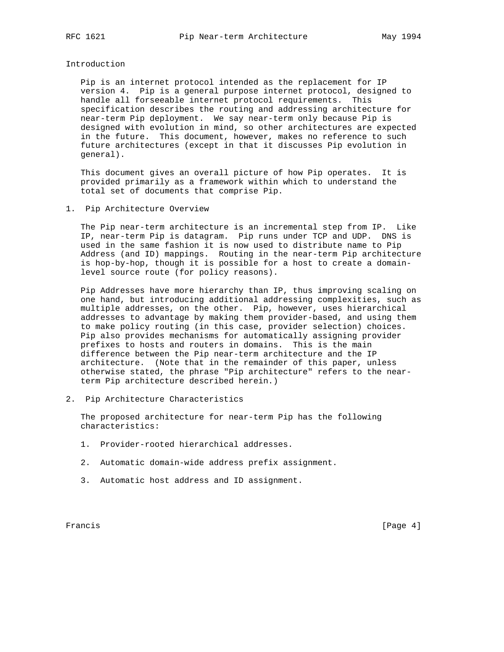Introduction

 Pip is an internet protocol intended as the replacement for IP version 4. Pip is a general purpose internet protocol, designed to handle all forseeable internet protocol requirements. This specification describes the routing and addressing architecture for near-term Pip deployment. We say near-term only because Pip is designed with evolution in mind, so other architectures are expected in the future. This document, however, makes no reference to such future architectures (except in that it discusses Pip evolution in general).

 This document gives an overall picture of how Pip operates. It is provided primarily as a framework within which to understand the total set of documents that comprise Pip.

1. Pip Architecture Overview

 The Pip near-term architecture is an incremental step from IP. Like IP, near-term Pip is datagram. Pip runs under TCP and UDP. DNS is used in the same fashion it is now used to distribute name to Pip Address (and ID) mappings. Routing in the near-term Pip architecture is hop-by-hop, though it is possible for a host to create a domain level source route (for policy reasons).

 Pip Addresses have more hierarchy than IP, thus improving scaling on one hand, but introducing additional addressing complexities, such as multiple addresses, on the other. Pip, however, uses hierarchical addresses to advantage by making them provider-based, and using them to make policy routing (in this case, provider selection) choices. Pip also provides mechanisms for automatically assigning provider prefixes to hosts and routers in domains. This is the main difference between the Pip near-term architecture and the IP architecture. (Note that in the remainder of this paper, unless otherwise stated, the phrase "Pip architecture" refers to the near term Pip architecture described herein.)

2. Pip Architecture Characteristics

 The proposed architecture for near-term Pip has the following characteristics:

- 1. Provider-rooted hierarchical addresses.
- 2. Automatic domain-wide address prefix assignment.
- 3. Automatic host address and ID assignment.

Francis [Page 4]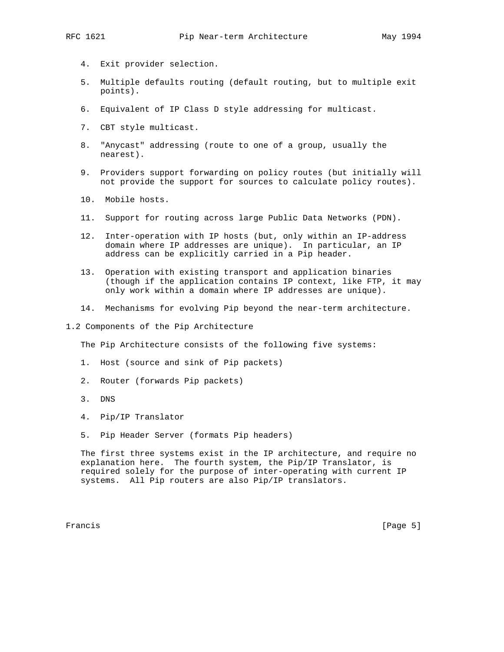- 4. Exit provider selection.
- 5. Multiple defaults routing (default routing, but to multiple exit points).
- 6. Equivalent of IP Class D style addressing for multicast.
- 7. CBT style multicast.
- 8. "Anycast" addressing (route to one of a group, usually the nearest).
- 9. Providers support forwarding on policy routes (but initially will not provide the support for sources to calculate policy routes).
- 10. Mobile hosts.
- 11. Support for routing across large Public Data Networks (PDN).
- 12. Inter-operation with IP hosts (but, only within an IP-address domain where IP addresses are unique). In particular, an IP address can be explicitly carried in a Pip header.
- 13. Operation with existing transport and application binaries (though if the application contains IP context, like FTP, it may only work within a domain where IP addresses are unique).
- 14. Mechanisms for evolving Pip beyond the near-term architecture.
- 1.2 Components of the Pip Architecture

The Pip Architecture consists of the following five systems:

- 1. Host (source and sink of Pip packets)
- 2. Router (forwards Pip packets)
- 3. DNS
- 4. Pip/IP Translator
- 5. Pip Header Server (formats Pip headers)

 The first three systems exist in the IP architecture, and require no explanation here. The fourth system, the Pip/IP Translator, is required solely for the purpose of inter-operating with current IP systems. All Pip routers are also Pip/IP translators.

Francis [Page 5]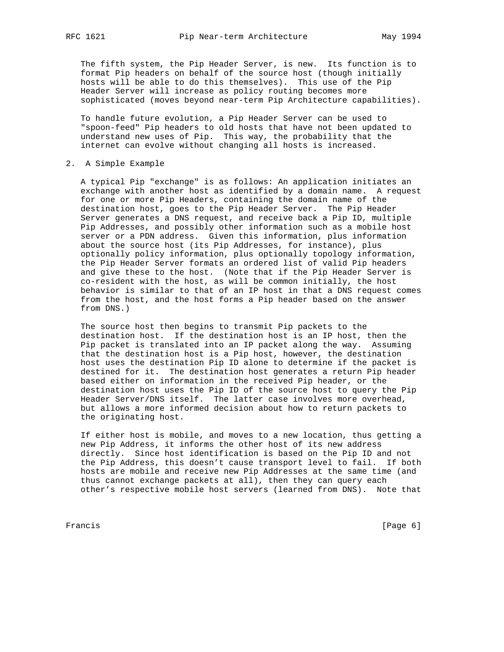The fifth system, the Pip Header Server, is new. Its function is to format Pip headers on behalf of the source host (though initially hosts will be able to do this themselves). This use of the Pip Header Server will increase as policy routing becomes more sophisticated (moves beyond near-term Pip Architecture capabilities).

 To handle future evolution, a Pip Header Server can be used to "spoon-feed" Pip headers to old hosts that have not been updated to understand new uses of Pip. This way, the probability that the internet can evolve without changing all hosts is increased.

# 2. A Simple Example

 A typical Pip "exchange" is as follows: An application initiates an exchange with another host as identified by a domain name. A request for one or more Pip Headers, containing the domain name of the destination host, goes to the Pip Header Server. The Pip Header Server generates a DNS request, and receive back a Pip ID, multiple Pip Addresses, and possibly other information such as a mobile host server or a PDN address. Given this information, plus information about the source host (its Pip Addresses, for instance), plus optionally policy information, plus optionally topology information, the Pip Header Server formats an ordered list of valid Pip headers and give these to the host. (Note that if the Pip Header Server is co-resident with the host, as will be common initially, the host behavior is similar to that of an IP host in that a DNS request comes from the host, and the host forms a Pip header based on the answer from DNS.)

 The source host then begins to transmit Pip packets to the destination host. If the destination host is an IP host, then the Pip packet is translated into an IP packet along the way. Assuming that the destination host is a Pip host, however, the destination host uses the destination Pip ID alone to determine if the packet is destined for it. The destination host generates a return Pip header based either on information in the received Pip header, or the destination host uses the Pip ID of the source host to query the Pip Header Server/DNS itself. The latter case involves more overhead, but allows a more informed decision about how to return packets to the originating host.

 If either host is mobile, and moves to a new location, thus getting a new Pip Address, it informs the other host of its new address directly. Since host identification is based on the Pip ID and not the Pip Address, this doesn't cause transport level to fail. If both hosts are mobile and receive new Pip Addresses at the same time (and thus cannot exchange packets at all), then they can query each other's respective mobile host servers (learned from DNS). Note that

Francis [Page 6]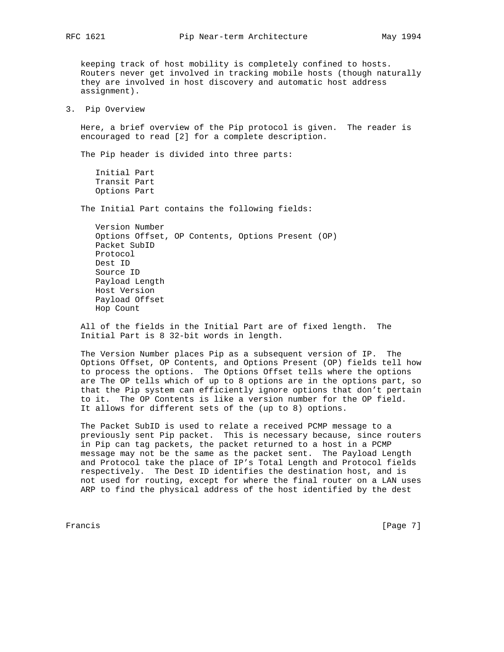keeping track of host mobility is completely confined to hosts. Routers never get involved in tracking mobile hosts (though naturally they are involved in host discovery and automatic host address assignment).

3. Pip Overview

 Here, a brief overview of the Pip protocol is given. The reader is encouraged to read [2] for a complete description.

The Pip header is divided into three parts:

 Initial Part Transit Part Options Part

The Initial Part contains the following fields:

 Version Number Options Offset, OP Contents, Options Present (OP) Packet SubID Protocol Dest ID Source ID Payload Length Host Version Payload Offset Hop Count

 All of the fields in the Initial Part are of fixed length. The Initial Part is 8 32-bit words in length.

 The Version Number places Pip as a subsequent version of IP. The Options Offset, OP Contents, and Options Present (OP) fields tell how to process the options. The Options Offset tells where the options are The OP tells which of up to 8 options are in the options part, so that the Pip system can efficiently ignore options that don't pertain to it. The OP Contents is like a version number for the OP field. It allows for different sets of the (up to 8) options.

 The Packet SubID is used to relate a received PCMP message to a previously sent Pip packet. This is necessary because, since routers in Pip can tag packets, the packet returned to a host in a PCMP message may not be the same as the packet sent. The Payload Length and Protocol take the place of IP's Total Length and Protocol fields respectively. The Dest ID identifies the destination host, and is not used for routing, except for where the final router on a LAN uses ARP to find the physical address of the host identified by the dest

Francis [Page 7]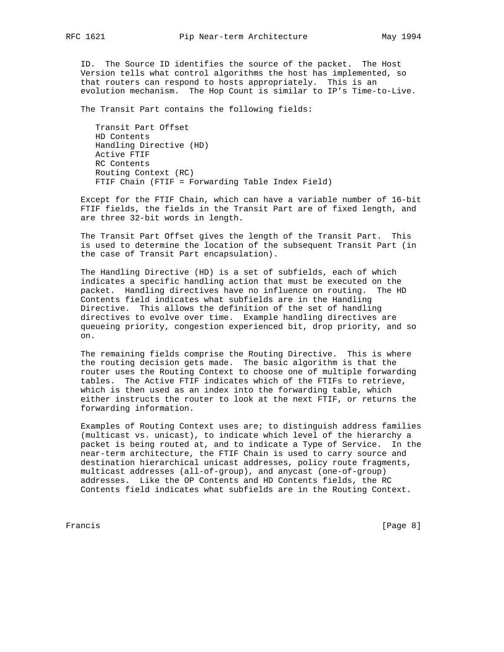ID. The Source ID identifies the source of the packet. The Host Version tells what control algorithms the host has implemented, so that routers can respond to hosts appropriately. This is an evolution mechanism. The Hop Count is similar to IP's Time-to-Live.

The Transit Part contains the following fields:

 Transit Part Offset HD Contents Handling Directive (HD) Active FTIF RC Contents Routing Context (RC) FTIF Chain (FTIF = Forwarding Table Index Field)

 Except for the FTIF Chain, which can have a variable number of 16-bit FTIF fields, the fields in the Transit Part are of fixed length, and are three 32-bit words in length.

 The Transit Part Offset gives the length of the Transit Part. This is used to determine the location of the subsequent Transit Part (in the case of Transit Part encapsulation).

 The Handling Directive (HD) is a set of subfields, each of which indicates a specific handling action that must be executed on the packet. Handling directives have no influence on routing. The HD Contents field indicates what subfields are in the Handling Directive. This allows the definition of the set of handling directives to evolve over time. Example handling directives are queueing priority, congestion experienced bit, drop priority, and so on.

 The remaining fields comprise the Routing Directive. This is where the routing decision gets made. The basic algorithm is that the router uses the Routing Context to choose one of multiple forwarding tables. The Active FTIF indicates which of the FTIFs to retrieve, which is then used as an index into the forwarding table, which either instructs the router to look at the next FTIF, or returns the forwarding information.

 Examples of Routing Context uses are; to distinguish address families (multicast vs. unicast), to indicate which level of the hierarchy a packet is being routed at, and to indicate a Type of Service. In the near-term architecture, the FTIF Chain is used to carry source and destination hierarchical unicast addresses, policy route fragments, multicast addresses (all-of-group), and anycast (one-of-group) addresses. Like the OP Contents and HD Contents fields, the RC Contents field indicates what subfields are in the Routing Context.

Francis [Page 8]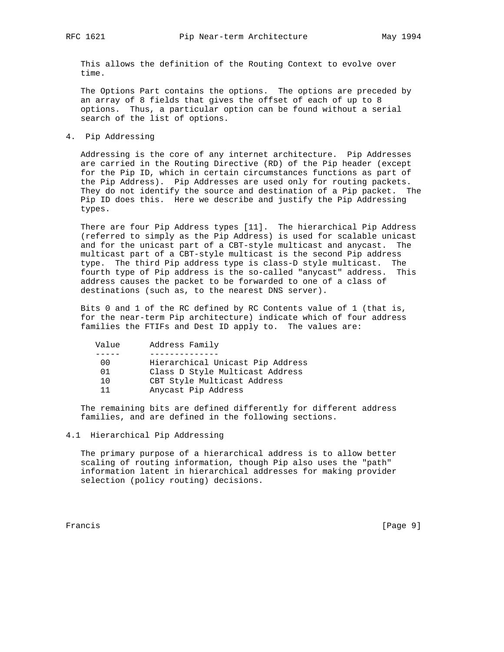This allows the definition of the Routing Context to evolve over time.

 The Options Part contains the options. The options are preceded by an array of 8 fields that gives the offset of each of up to 8 options. Thus, a particular option can be found without a serial search of the list of options.

4. Pip Addressing

 Addressing is the core of any internet architecture. Pip Addresses are carried in the Routing Directive (RD) of the Pip header (except for the Pip ID, which in certain circumstances functions as part of the Pip Address). Pip Addresses are used only for routing packets. They do not identify the source and destination of a Pip packet. The Pip ID does this. Here we describe and justify the Pip Addressing types.

 There are four Pip Address types [11]. The hierarchical Pip Address (referred to simply as the Pip Address) is used for scalable unicast and for the unicast part of a CBT-style multicast and anycast. The multicast part of a CBT-style multicast is the second Pip address type. The third Pip address type is class-D style multicast. The fourth type of Pip address is the so-called "anycast" address. This address causes the packet to be forwarded to one of a class of destinations (such as, to the nearest DNS server).

 Bits 0 and 1 of the RC defined by RC Contents value of 1 (that is, for the near-term Pip architecture) indicate which of four address families the FTIFs and Dest ID apply to. The values are:

| Value | Address Family                   |
|-------|----------------------------------|
|       |                                  |
| 00    | Hierarchical Unicast Pip Address |
| 01    | Class D Style Multicast Address  |
| 10    | CBT Style Multicast Address      |
| 11    | Anycast Pip Address              |
|       |                                  |

 The remaining bits are defined differently for different address families, and are defined in the following sections.

4.1 Hierarchical Pip Addressing

 The primary purpose of a hierarchical address is to allow better scaling of routing information, though Pip also uses the "path" information latent in hierarchical addresses for making provider selection (policy routing) decisions.

Francis [Page 9]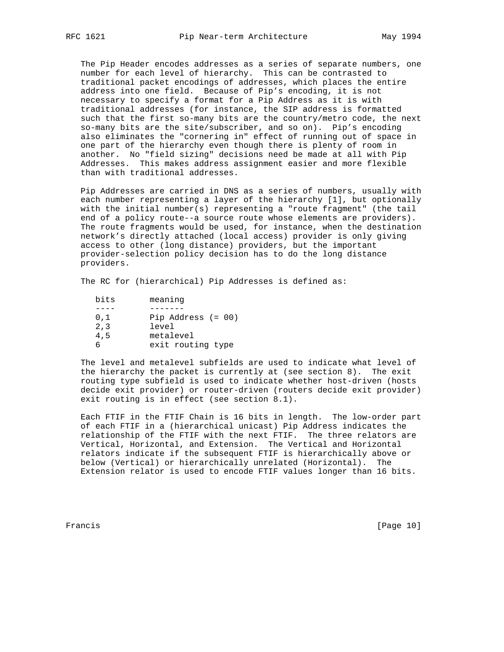The Pip Header encodes addresses as a series of separate numbers, one number for each level of hierarchy. This can be contrasted to traditional packet encodings of addresses, which places the entire address into one field. Because of Pip's encoding, it is not necessary to specify a format for a Pip Address as it is with traditional addresses (for instance, the SIP address is formatted such that the first so-many bits are the country/metro code, the next so-many bits are the site/subscriber, and so on). Pip's encoding also eliminates the "cornering in" effect of running out of space in one part of the hierarchy even though there is plenty of room in another. No "field sizing" decisions need be made at all with Pip Addresses. This makes address assignment easier and more flexible than with traditional addresses.

 Pip Addresses are carried in DNS as a series of numbers, usually with each number representing a layer of the hierarchy [1], but optionally with the initial number(s) representing a "route fragment" (the tail end of a policy route--a source route whose elements are providers). The route fragments would be used, for instance, when the destination network's directly attached (local access) provider is only giving access to other (long distance) providers, but the important provider-selection policy decision has to do the long distance providers.

The RC for (hierarchical) Pip Addresses is defined as:

| bits | meaning              |
|------|----------------------|
|      |                      |
| 0.1  | Pip Address $(= 00)$ |
| 2,3  | level                |
| 4,5  | metalevel            |
|      | exit routing type    |

 The level and metalevel subfields are used to indicate what level of the hierarchy the packet is currently at (see section 8). The exit routing type subfield is used to indicate whether host-driven (hosts decide exit provider) or router-driven (routers decide exit provider) exit routing is in effect (see section 8.1).

 Each FTIF in the FTIF Chain is 16 bits in length. The low-order part of each FTIF in a (hierarchical unicast) Pip Address indicates the relationship of the FTIF with the next FTIF. The three relators are Vertical, Horizontal, and Extension. The Vertical and Horizontal relators indicate if the subsequent FTIF is hierarchically above or below (Vertical) or hierarchically unrelated (Horizontal). The Extension relator is used to encode FTIF values longer than 16 bits.

Francis [Page 10]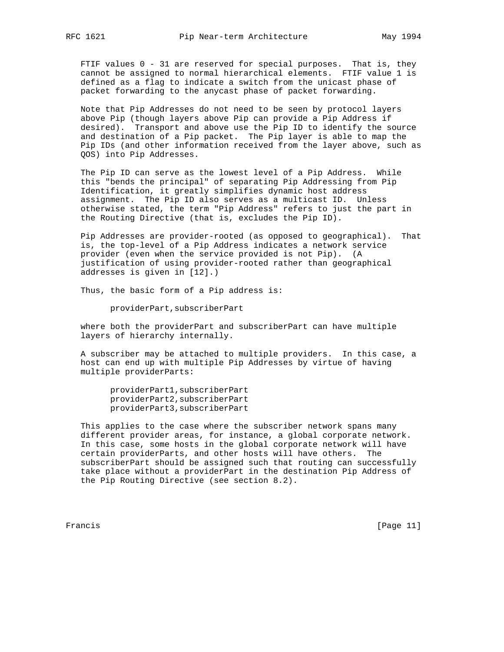FTIF values  $0$  - 31 are reserved for special purposes. That is, they cannot be assigned to normal hierarchical elements. FTIF value 1 is defined as a flag to indicate a switch from the unicast phase of packet forwarding to the anycast phase of packet forwarding.

 Note that Pip Addresses do not need to be seen by protocol layers above Pip (though layers above Pip can provide a Pip Address if desired). Transport and above use the Pip ID to identify the source and destination of a Pip packet. The Pip layer is able to map the Pip IDs (and other information received from the layer above, such as QOS) into Pip Addresses.

 The Pip ID can serve as the lowest level of a Pip Address. While this "bends the principal" of separating Pip Addressing from Pip Identification, it greatly simplifies dynamic host address assignment. The Pip ID also serves as a multicast ID. Unless otherwise stated, the term "Pip Address" refers to just the part in the Routing Directive (that is, excludes the Pip ID).

 Pip Addresses are provider-rooted (as opposed to geographical). That is, the top-level of a Pip Address indicates a network service provider (even when the service provided is not Pip). (A justification of using provider-rooted rather than geographical addresses is given in [12].)

Thus, the basic form of a Pip address is:

providerPart,subscriberPart

 where both the providerPart and subscriberPart can have multiple layers of hierarchy internally.

 A subscriber may be attached to multiple providers. In this case, a host can end up with multiple Pip Addresses by virtue of having multiple providerParts:

 providerPart1,subscriberPart providerPart2,subscriberPart providerPart3,subscriberPart

 This applies to the case where the subscriber network spans many different provider areas, for instance, a global corporate network. In this case, some hosts in the global corporate network will have certain providerParts, and other hosts will have others. The subscriberPart should be assigned such that routing can successfully take place without a providerPart in the destination Pip Address of the Pip Routing Directive (see section 8.2).

Francis [Page 11]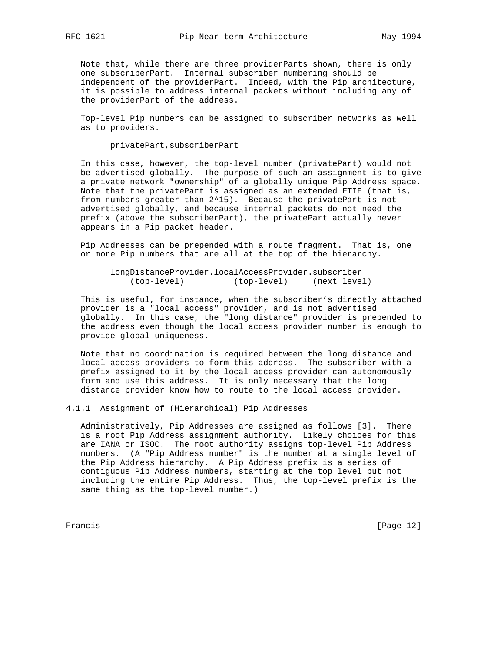Note that, while there are three providerParts shown, there is only one subscriberPart. Internal subscriber numbering should be independent of the providerPart. Indeed, with the Pip architecture, it is possible to address internal packets without including any of the providerPart of the address.

 Top-level Pip numbers can be assigned to subscriber networks as well as to providers.

privatePart,subscriberPart

 In this case, however, the top-level number (privatePart) would not be advertised globally. The purpose of such an assignment is to give a private network "ownership" of a globally unique Pip Address space. Note that the privatePart is assigned as an extended FTIF (that is, from numbers greater than 2^15). Because the privatePart is not advertised globally, and because internal packets do not need the prefix (above the subscriberPart), the privatePart actually never appears in a Pip packet header.

 Pip Addresses can be prepended with a route fragment. That is, one or more Pip numbers that are all at the top of the hierarchy.

 longDistanceProvider.localAccessProvider.subscriber (top-level) (top-level) (next level)

 This is useful, for instance, when the subscriber's directly attached provider is a "local access" provider, and is not advertised globally. In this case, the "long distance" provider is prepended to the address even though the local access provider number is enough to provide global uniqueness.

 Note that no coordination is required between the long distance and local access providers to form this address. The subscriber with a prefix assigned to it by the local access provider can autonomously form and use this address. It is only necessary that the long distance provider know how to route to the local access provider.

4.1.1 Assignment of (Hierarchical) Pip Addresses

 Administratively, Pip Addresses are assigned as follows [3]. There is a root Pip Address assignment authority. Likely choices for this are IANA or ISOC. The root authority assigns top-level Pip Address numbers. (A "Pip Address number" is the number at a single level of the Pip Address hierarchy. A Pip Address prefix is a series of contiguous Pip Address numbers, starting at the top level but not including the entire Pip Address. Thus, the top-level prefix is the same thing as the top-level number.)

Francis [Page 12]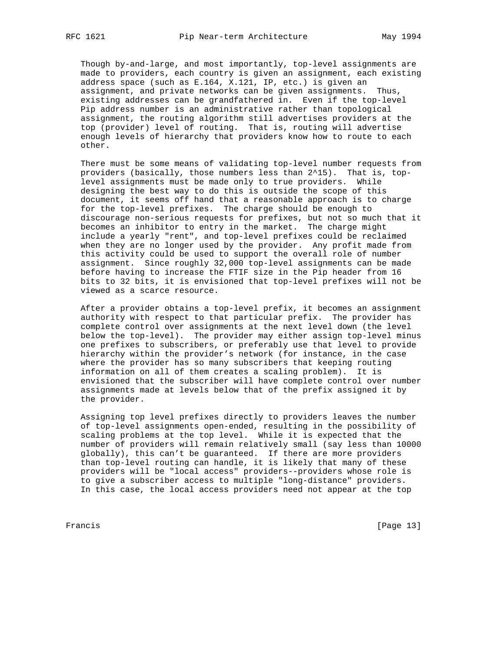Though by-and-large, and most importantly, top-level assignments are made to providers, each country is given an assignment, each existing address space (such as E.164, X.121, IP, etc.) is given an assignment, and private networks can be given assignments. Thus, existing addresses can be grandfathered in. Even if the top-level Pip address number is an administrative rather than topological assignment, the routing algorithm still advertises providers at the top (provider) level of routing. That is, routing will advertise enough levels of hierarchy that providers know how to route to each other.

 There must be some means of validating top-level number requests from providers (basically, those numbers less than 2^15). That is, top level assignments must be made only to true providers. While designing the best way to do this is outside the scope of this document, it seems off hand that a reasonable approach is to charge for the top-level prefixes. The charge should be enough to discourage non-serious requests for prefixes, but not so much that it becomes an inhibitor to entry in the market. The charge might include a yearly "rent", and top-level prefixes could be reclaimed when they are no longer used by the provider. Any profit made from this activity could be used to support the overall role of number assignment. Since roughly 32,000 top-level assignments can be made before having to increase the FTIF size in the Pip header from 16 bits to 32 bits, it is envisioned that top-level prefixes will not be viewed as a scarce resource.

 After a provider obtains a top-level prefix, it becomes an assignment authority with respect to that particular prefix. The provider has complete control over assignments at the next level down (the level below the top-level). The provider may either assign top-level minus one prefixes to subscribers, or preferably use that level to provide hierarchy within the provider's network (for instance, in the case where the provider has so many subscribers that keeping routing information on all of them creates a scaling problem). It is envisioned that the subscriber will have complete control over number assignments made at levels below that of the prefix assigned it by the provider.

 Assigning top level prefixes directly to providers leaves the number of top-level assignments open-ended, resulting in the possibility of scaling problems at the top level. While it is expected that the number of providers will remain relatively small (say less than 10000 globally), this can't be guaranteed. If there are more providers than top-level routing can handle, it is likely that many of these providers will be "local access" providers--providers whose role is to give a subscriber access to multiple "long-distance" providers. In this case, the local access providers need not appear at the top

Francis [Page 13]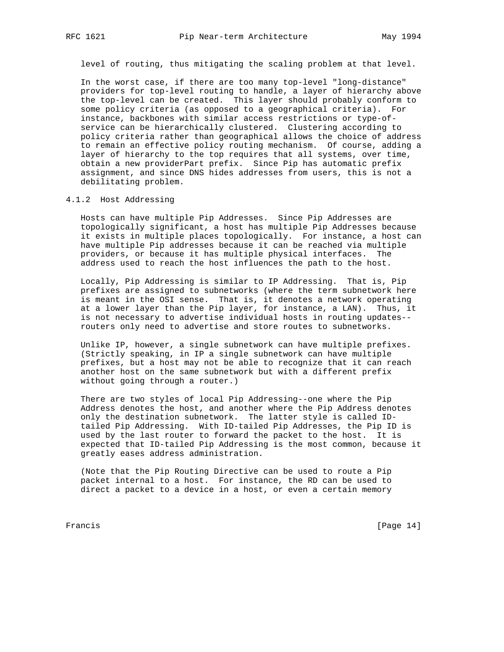level of routing, thus mitigating the scaling problem at that level.

 In the worst case, if there are too many top-level "long-distance" providers for top-level routing to handle, a layer of hierarchy above the top-level can be created. This layer should probably conform to some policy criteria (as opposed to a geographical criteria). For instance, backbones with similar access restrictions or type-of service can be hierarchically clustered. Clustering according to policy criteria rather than geographical allows the choice of address to remain an effective policy routing mechanism. Of course, adding a layer of hierarchy to the top requires that all systems, over time, obtain a new providerPart prefix. Since Pip has automatic prefix assignment, and since DNS hides addresses from users, this is not a debilitating problem.

# 4.1.2 Host Addressing

 Hosts can have multiple Pip Addresses. Since Pip Addresses are topologically significant, a host has multiple Pip Addresses because it exists in multiple places topologically. For instance, a host can have multiple Pip addresses because it can be reached via multiple providers, or because it has multiple physical interfaces. The address used to reach the host influences the path to the host.

 Locally, Pip Addressing is similar to IP Addressing. That is, Pip prefixes are assigned to subnetworks (where the term subnetwork here is meant in the OSI sense. That is, it denotes a network operating at a lower layer than the Pip layer, for instance, a LAN). Thus, it is not necessary to advertise individual hosts in routing updates- routers only need to advertise and store routes to subnetworks.

 Unlike IP, however, a single subnetwork can have multiple prefixes. (Strictly speaking, in IP a single subnetwork can have multiple prefixes, but a host may not be able to recognize that it can reach another host on the same subnetwork but with a different prefix without going through a router.)

 There are two styles of local Pip Addressing--one where the Pip Address denotes the host, and another where the Pip Address denotes only the destination subnetwork. The latter style is called ID tailed Pip Addressing. With ID-tailed Pip Addresses, the Pip ID is used by the last router to forward the packet to the host. It is expected that ID-tailed Pip Addressing is the most common, because it greatly eases address administration.

 (Note that the Pip Routing Directive can be used to route a Pip packet internal to a host. For instance, the RD can be used to direct a packet to a device in a host, or even a certain memory

Francis [Page 14]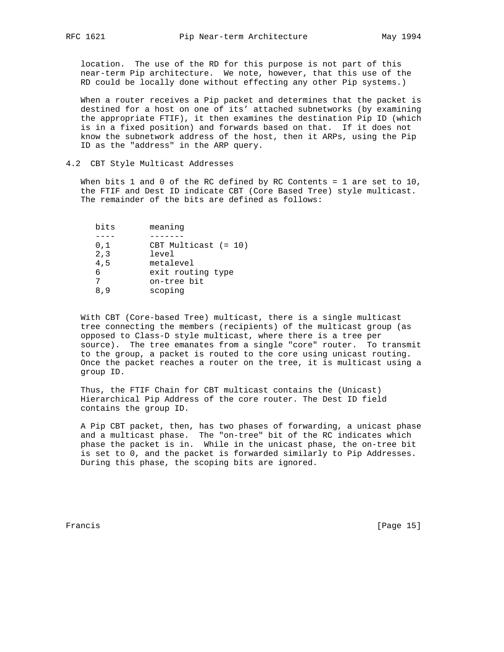location. The use of the RD for this purpose is not part of this near-term Pip architecture. We note, however, that this use of the RD could be locally done without effecting any other Pip systems.)

 When a router receives a Pip packet and determines that the packet is destined for a host on one of its' attached subnetworks (by examining the appropriate FTIF), it then examines the destination Pip ID (which is in a fixed position) and forwards based on that. If it does not know the subnetwork address of the host, then it ARPs, using the Pip ID as the "address" in the ARP query.

# 4.2 CBT Style Multicast Addresses

When bits  $1$  and  $0$  of the RC defined by RC Contents =  $1$  are set to  $10$ , the FTIF and Dest ID indicate CBT (Core Based Tree) style multicast. The remainder of the bits are defined as follows:

| bits | meaning                |
|------|------------------------|
|      |                        |
| 0,1  | CBT Multicast $(= 10)$ |
| 2, 3 | level                  |
| 4,5  | metalevel              |
| 6    | exit routing type      |
|      | on-tree bit            |
| 8.9  | scoping                |
|      |                        |

 With CBT (Core-based Tree) multicast, there is a single multicast tree connecting the members (recipients) of the multicast group (as opposed to Class-D style multicast, where there is a tree per source). The tree emanates from a single "core" router. To transmit to the group, a packet is routed to the core using unicast routing. Once the packet reaches a router on the tree, it is multicast using a group ID.

 Thus, the FTIF Chain for CBT multicast contains the (Unicast) Hierarchical Pip Address of the core router. The Dest ID field contains the group ID.

 A Pip CBT packet, then, has two phases of forwarding, a unicast phase and a multicast phase. The "on-tree" bit of the RC indicates which phase the packet is in. While in the unicast phase, the on-tree bit is set to 0, and the packet is forwarded similarly to Pip Addresses. During this phase, the scoping bits are ignored.

Francis [Page 15]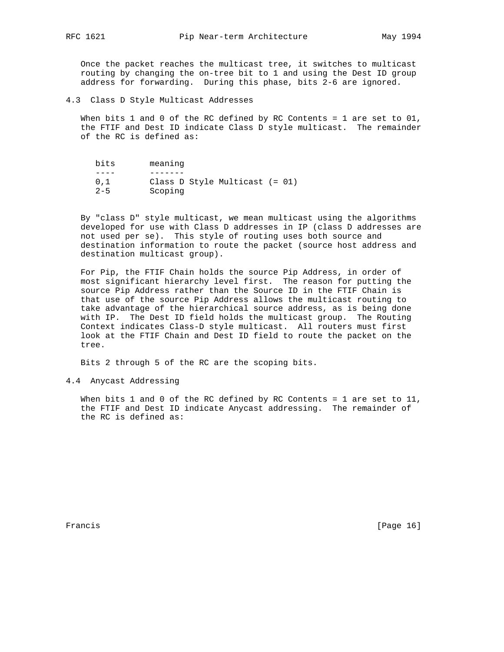Once the packet reaches the multicast tree, it switches to multicast routing by changing the on-tree bit to 1 and using the Dest ID group address for forwarding. During this phase, bits 2-6 are ignored.

4.3 Class D Style Multicast Addresses

 When bits 1 and 0 of the RC defined by RC Contents = 1 are set to 01, the FTIF and Dest ID indicate Class D style multicast. The remainder of the RC is defined as:

| bits    | meaning                          |
|---------|----------------------------------|
|         |                                  |
| 0.1     | Class D Style Multicast $(= 01)$ |
| $2 - 5$ | Scoping                          |

 By "class D" style multicast, we mean multicast using the algorithms developed for use with Class D addresses in IP (class D addresses are not used per se). This style of routing uses both source and destination information to route the packet (source host address and destination multicast group).

 For Pip, the FTIF Chain holds the source Pip Address, in order of most significant hierarchy level first. The reason for putting the source Pip Address rather than the Source ID in the FTIF Chain is that use of the source Pip Address allows the multicast routing to take advantage of the hierarchical source address, as is being done with IP. The Dest ID field holds the multicast group. The Routing Context indicates Class-D style multicast. All routers must first look at the FTIF Chain and Dest ID field to route the packet on the tree.

Bits 2 through 5 of the RC are the scoping bits.

4.4 Anycast Addressing

When bits 1 and 0 of the RC defined by RC Contents = 1 are set to  $11$ , the FTIF and Dest ID indicate Anycast addressing. The remainder of the RC is defined as:

Francis [Page 16]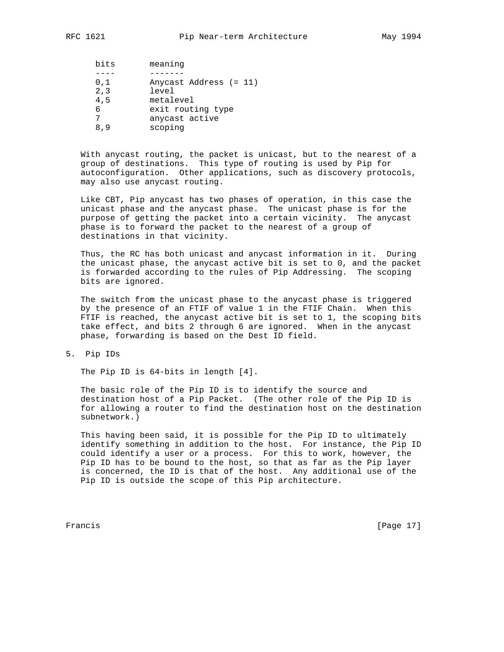| bits | meaning                |
|------|------------------------|
|      |                        |
| 0,1  | Anycast Address (= 11) |
| 2, 3 | level                  |
| 4,5  | metalevel              |
| 6    | exit routing type      |
|      | anycast active         |
| 89   | scoping                |

 With anycast routing, the packet is unicast, but to the nearest of a group of destinations. This type of routing is used by Pip for autoconfiguration. Other applications, such as discovery protocols, may also use anycast routing.

 Like CBT, Pip anycast has two phases of operation, in this case the unicast phase and the anycast phase. The unicast phase is for the purpose of getting the packet into a certain vicinity. The anycast phase is to forward the packet to the nearest of a group of destinations in that vicinity.

 Thus, the RC has both unicast and anycast information in it. During the unicast phase, the anycast active bit is set to 0, and the packet is forwarded according to the rules of Pip Addressing. The scoping bits are ignored.

 The switch from the unicast phase to the anycast phase is triggered by the presence of an FTIF of value 1 in the FTIF Chain. When this FTIF is reached, the anycast active bit is set to 1, the scoping bits take effect, and bits 2 through 6 are ignored. When in the anycast phase, forwarding is based on the Dest ID field.

5. Pip IDs

The Pip ID is 64-bits in length [4].

 The basic role of the Pip ID is to identify the source and destination host of a Pip Packet. (The other role of the Pip ID is for allowing a router to find the destination host on the destination subnetwork.)

 This having been said, it is possible for the Pip ID to ultimately identify something in addition to the host. For instance, the Pip ID could identify a user or a process. For this to work, however, the Pip ID has to be bound to the host, so that as far as the Pip layer is concerned, the ID is that of the host. Any additional use of the Pip ID is outside the scope of this Pip architecture.

Francis [Page 17]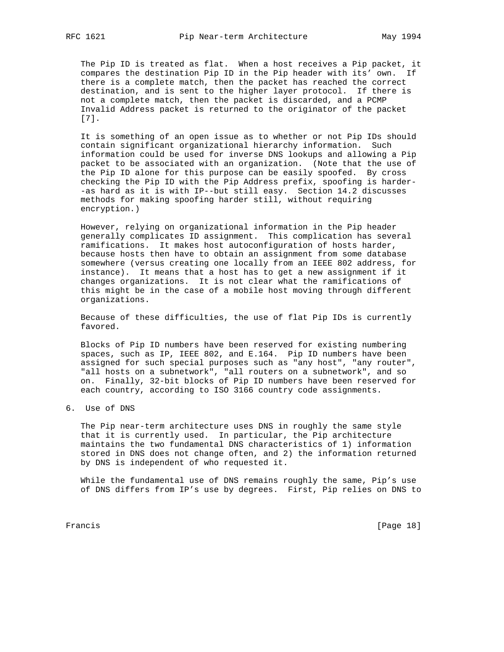The Pip ID is treated as flat. When a host receives a Pip packet, it compares the destination Pip ID in the Pip header with its' own. If there is a complete match, then the packet has reached the correct destination, and is sent to the higher layer protocol. If there is not a complete match, then the packet is discarded, and a PCMP Invalid Address packet is returned to the originator of the packet [7].

 It is something of an open issue as to whether or not Pip IDs should contain significant organizational hierarchy information. Such information could be used for inverse DNS lookups and allowing a Pip packet to be associated with an organization. (Note that the use of the Pip ID alone for this purpose can be easily spoofed. By cross checking the Pip ID with the Pip Address prefix, spoofing is harder- -as hard as it is with IP--but still easy. Section 14.2 discusses methods for making spoofing harder still, without requiring encryption.)

 However, relying on organizational information in the Pip header generally complicates ID assignment. This complication has several ramifications. It makes host autoconfiguration of hosts harder, because hosts then have to obtain an assignment from some database somewhere (versus creating one locally from an IEEE 802 address, for instance). It means that a host has to get a new assignment if it changes organizations. It is not clear what the ramifications of this might be in the case of a mobile host moving through different organizations.

 Because of these difficulties, the use of flat Pip IDs is currently favored.

 Blocks of Pip ID numbers have been reserved for existing numbering spaces, such as IP, IEEE 802, and E.164. Pip ID numbers have been assigned for such special purposes such as "any host", "any router", "all hosts on a subnetwork", "all routers on a subnetwork", and so on. Finally, 32-bit blocks of Pip ID numbers have been reserved for each country, according to ISO 3166 country code assignments.

6. Use of DNS

 The Pip near-term architecture uses DNS in roughly the same style that it is currently used. In particular, the Pip architecture maintains the two fundamental DNS characteristics of 1) information stored in DNS does not change often, and 2) the information returned by DNS is independent of who requested it.

While the fundamental use of DNS remains roughly the same, Pip's use of DNS differs from IP's use by degrees. First, Pip relies on DNS to

Francis [Page 18]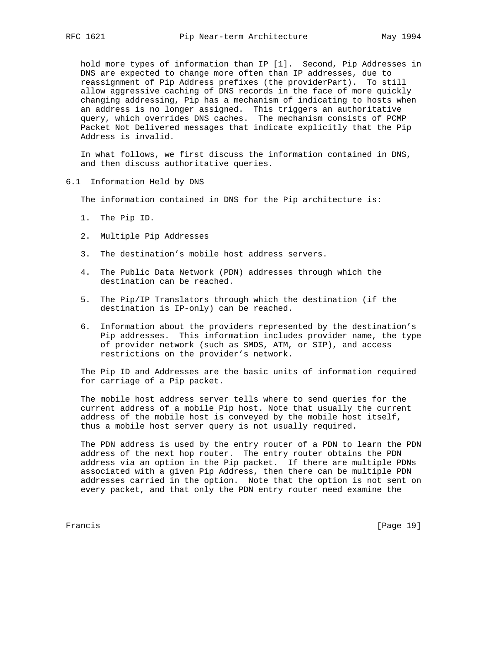hold more types of information than IP [1]. Second, Pip Addresses in DNS are expected to change more often than IP addresses, due to reassignment of Pip Address prefixes (the providerPart). To still allow aggressive caching of DNS records in the face of more quickly changing addressing, Pip has a mechanism of indicating to hosts when an address is no longer assigned. This triggers an authoritative query, which overrides DNS caches. The mechanism consists of PCMP Packet Not Delivered messages that indicate explicitly that the Pip Address is invalid.

 In what follows, we first discuss the information contained in DNS, and then discuss authoritative queries.

6.1 Information Held by DNS

The information contained in DNS for the Pip architecture is:

- 1. The Pip ID.
- 2. Multiple Pip Addresses
- 3. The destination's mobile host address servers.
- 4. The Public Data Network (PDN) addresses through which the destination can be reached.
- 5. The Pip/IP Translators through which the destination (if the destination is IP-only) can be reached.
- 6. Information about the providers represented by the destination's Pip addresses. This information includes provider name, the type of provider network (such as SMDS, ATM, or SIP), and access restrictions on the provider's network.

 The Pip ID and Addresses are the basic units of information required for carriage of a Pip packet.

 The mobile host address server tells where to send queries for the current address of a mobile Pip host. Note that usually the current address of the mobile host is conveyed by the mobile host itself, thus a mobile host server query is not usually required.

 The PDN address is used by the entry router of a PDN to learn the PDN address of the next hop router. The entry router obtains the PDN address via an option in the Pip packet. If there are multiple PDNs associated with a given Pip Address, then there can be multiple PDN addresses carried in the option. Note that the option is not sent on every packet, and that only the PDN entry router need examine the

Francis [Page 19]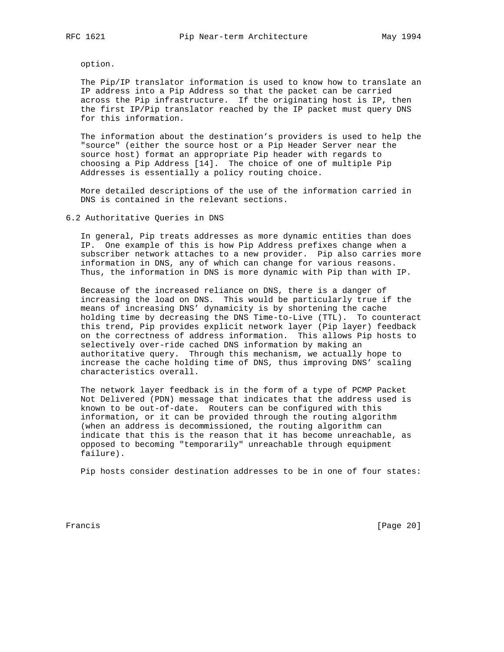option.

 The Pip/IP translator information is used to know how to translate an IP address into a Pip Address so that the packet can be carried across the Pip infrastructure. If the originating host is IP, then the first IP/Pip translator reached by the IP packet must query DNS for this information.

 The information about the destination's providers is used to help the "source" (either the source host or a Pip Header Server near the source host) format an appropriate Pip header with regards to choosing a Pip Address [14]. The choice of one of multiple Pip Addresses is essentially a policy routing choice.

 More detailed descriptions of the use of the information carried in DNS is contained in the relevant sections.

6.2 Authoritative Queries in DNS

 In general, Pip treats addresses as more dynamic entities than does IP. One example of this is how Pip Address prefixes change when a subscriber network attaches to a new provider. Pip also carries more information in DNS, any of which can change for various reasons. Thus, the information in DNS is more dynamic with Pip than with IP.

 Because of the increased reliance on DNS, there is a danger of increasing the load on DNS. This would be particularly true if the means of increasing DNS' dynamicity is by shortening the cache holding time by decreasing the DNS Time-to-Live (TTL). To counteract this trend, Pip provides explicit network layer (Pip layer) feedback on the correctness of address information. This allows Pip hosts to selectively over-ride cached DNS information by making an authoritative query. Through this mechanism, we actually hope to increase the cache holding time of DNS, thus improving DNS' scaling characteristics overall.

 The network layer feedback is in the form of a type of PCMP Packet Not Delivered (PDN) message that indicates that the address used is known to be out-of-date. Routers can be configured with this information, or it can be provided through the routing algorithm (when an address is decommissioned, the routing algorithm can indicate that this is the reason that it has become unreachable, as opposed to becoming "temporarily" unreachable through equipment failure).

Pip hosts consider destination addresses to be in one of four states:

Francis [Page 20]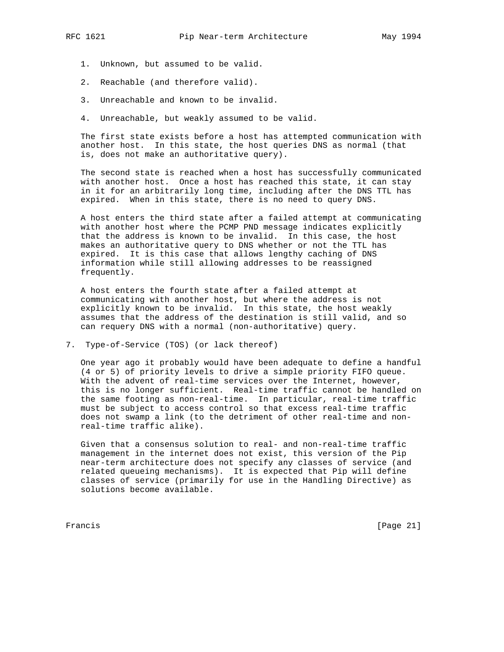- 1. Unknown, but assumed to be valid.
- 2. Reachable (and therefore valid).
- 3. Unreachable and known to be invalid.
- 4. Unreachable, but weakly assumed to be valid.

 The first state exists before a host has attempted communication with another host. In this state, the host queries DNS as normal (that is, does not make an authoritative query).

 The second state is reached when a host has successfully communicated with another host. Once a host has reached this state, it can stay in it for an arbitrarily long time, including after the DNS TTL has expired. When in this state, there is no need to query DNS.

 A host enters the third state after a failed attempt at communicating with another host where the PCMP PND message indicates explicitly that the address is known to be invalid. In this case, the host makes an authoritative query to DNS whether or not the TTL has expired. It is this case that allows lengthy caching of DNS information while still allowing addresses to be reassigned frequently.

 A host enters the fourth state after a failed attempt at communicating with another host, but where the address is not explicitly known to be invalid. In this state, the host weakly assumes that the address of the destination is still valid, and so can requery DNS with a normal (non-authoritative) query.

7. Type-of-Service (TOS) (or lack thereof)

 One year ago it probably would have been adequate to define a handful (4 or 5) of priority levels to drive a simple priority FIFO queue. With the advent of real-time services over the Internet, however, this is no longer sufficient. Real-time traffic cannot be handled on the same footing as non-real-time. In particular, real-time traffic must be subject to access control so that excess real-time traffic does not swamp a link (to the detriment of other real-time and non real-time traffic alike).

 Given that a consensus solution to real- and non-real-time traffic management in the internet does not exist, this version of the Pip near-term architecture does not specify any classes of service (and related queueing mechanisms). It is expected that Pip will define classes of service (primarily for use in the Handling Directive) as solutions become available.

Francis [Page 21]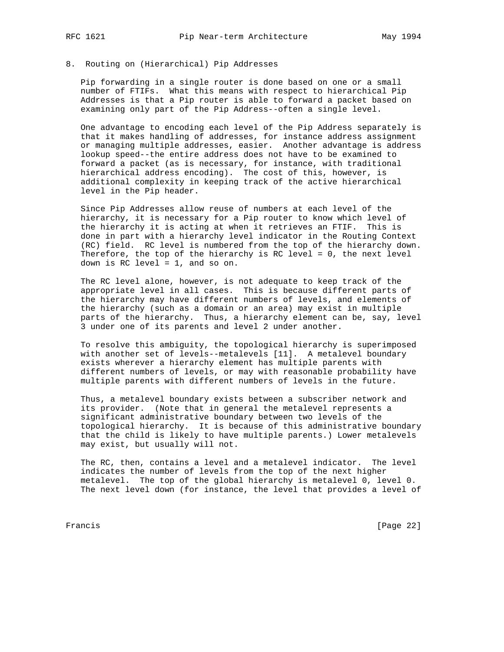# 8. Routing on (Hierarchical) Pip Addresses

 Pip forwarding in a single router is done based on one or a small number of FTIFs. What this means with respect to hierarchical Pip Addresses is that a Pip router is able to forward a packet based on examining only part of the Pip Address--often a single level.

 One advantage to encoding each level of the Pip Address separately is that it makes handling of addresses, for instance address assignment or managing multiple addresses, easier. Another advantage is address lookup speed--the entire address does not have to be examined to forward a packet (as is necessary, for instance, with traditional hierarchical address encoding). The cost of this, however, is additional complexity in keeping track of the active hierarchical level in the Pip header.

 Since Pip Addresses allow reuse of numbers at each level of the hierarchy, it is necessary for a Pip router to know which level of the hierarchy it is acting at when it retrieves an FTIF. This is done in part with a hierarchy level indicator in the Routing Context (RC) field. RC level is numbered from the top of the hierarchy down. Therefore, the top of the hierarchy is RC level = 0, the next level down is RC level = 1, and so on.

 The RC level alone, however, is not adequate to keep track of the appropriate level in all cases. This is because different parts of the hierarchy may have different numbers of levels, and elements of the hierarchy (such as a domain or an area) may exist in multiple parts of the hierarchy. Thus, a hierarchy element can be, say, level 3 under one of its parents and level 2 under another.

 To resolve this ambiguity, the topological hierarchy is superimposed with another set of levels--metalevels [11]. A metalevel boundary exists wherever a hierarchy element has multiple parents with different numbers of levels, or may with reasonable probability have multiple parents with different numbers of levels in the future.

 Thus, a metalevel boundary exists between a subscriber network and its provider. (Note that in general the metalevel represents a significant administrative boundary between two levels of the topological hierarchy. It is because of this administrative boundary that the child is likely to have multiple parents.) Lower metalevels may exist, but usually will not.

 The RC, then, contains a level and a metalevel indicator. The level indicates the number of levels from the top of the next higher metalevel. The top of the global hierarchy is metalevel 0, level 0. The next level down (for instance, the level that provides a level of

Francis [Page 22]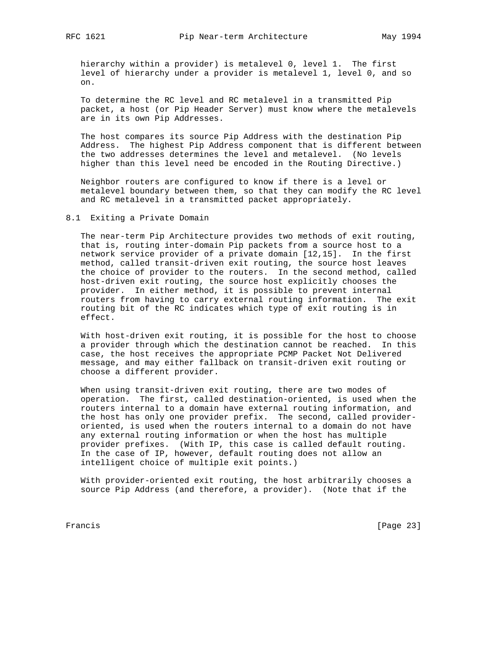hierarchy within a provider) is metalevel 0, level 1. The first level of hierarchy under a provider is metalevel 1, level 0, and so on.

 To determine the RC level and RC metalevel in a transmitted Pip packet, a host (or Pip Header Server) must know where the metalevels are in its own Pip Addresses.

 The host compares its source Pip Address with the destination Pip Address. The highest Pip Address component that is different between the two addresses determines the level and metalevel. (No levels higher than this level need be encoded in the Routing Directive.)

 Neighbor routers are configured to know if there is a level or metalevel boundary between them, so that they can modify the RC level and RC metalevel in a transmitted packet appropriately.

# 8.1 Exiting a Private Domain

 The near-term Pip Architecture provides two methods of exit routing, that is, routing inter-domain Pip packets from a source host to a network service provider of a private domain [12,15]. In the first method, called transit-driven exit routing, the source host leaves the choice of provider to the routers. In the second method, called host-driven exit routing, the source host explicitly chooses the provider. In either method, it is possible to prevent internal routers from having to carry external routing information. The exit routing bit of the RC indicates which type of exit routing is in effect.

 With host-driven exit routing, it is possible for the host to choose a provider through which the destination cannot be reached. In this case, the host receives the appropriate PCMP Packet Not Delivered message, and may either fallback on transit-driven exit routing or choose a different provider.

 When using transit-driven exit routing, there are two modes of operation. The first, called destination-oriented, is used when the routers internal to a domain have external routing information, and the host has only one provider prefix. The second, called provider oriented, is used when the routers internal to a domain do not have any external routing information or when the host has multiple provider prefixes. (With IP, this case is called default routing. In the case of IP, however, default routing does not allow an intelligent choice of multiple exit points.)

 With provider-oriented exit routing, the host arbitrarily chooses a source Pip Address (and therefore, a provider). (Note that if the

Francis [Page 23]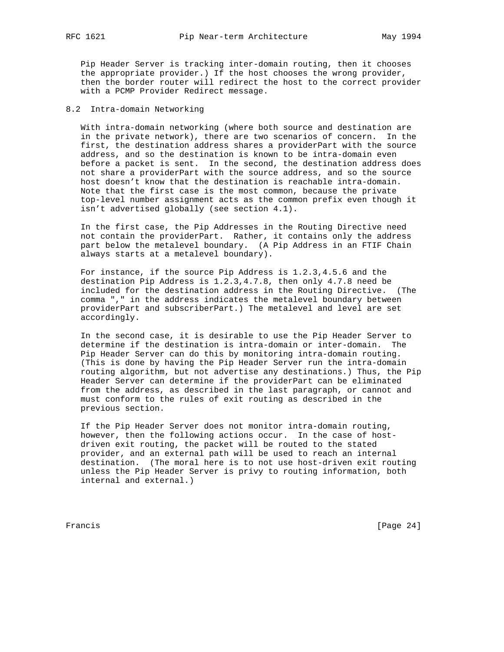Pip Header Server is tracking inter-domain routing, then it chooses the appropriate provider.) If the host chooses the wrong provider, then the border router will redirect the host to the correct provider with a PCMP Provider Redirect message.

# 8.2 Intra-domain Networking

 With intra-domain networking (where both source and destination are in the private network), there are two scenarios of concern. In the first, the destination address shares a providerPart with the source address, and so the destination is known to be intra-domain even before a packet is sent. In the second, the destination address does not share a providerPart with the source address, and so the source host doesn't know that the destination is reachable intra-domain. Note that the first case is the most common, because the private top-level number assignment acts as the common prefix even though it isn't advertised globally (see section 4.1).

 In the first case, the Pip Addresses in the Routing Directive need not contain the providerPart. Rather, it contains only the address part below the metalevel boundary. (A Pip Address in an FTIF Chain always starts at a metalevel boundary).

 For instance, if the source Pip Address is 1.2.3,4.5.6 and the destination Pip Address is 1.2.3,4.7.8, then only 4.7.8 need be included for the destination address in the Routing Directive. (The comma "," in the address indicates the metalevel boundary between providerPart and subscriberPart.) The metalevel and level are set accordingly.

 In the second case, it is desirable to use the Pip Header Server to determine if the destination is intra-domain or inter-domain. The Pip Header Server can do this by monitoring intra-domain routing. (This is done by having the Pip Header Server run the intra-domain routing algorithm, but not advertise any destinations.) Thus, the Pip Header Server can determine if the providerPart can be eliminated from the address, as described in the last paragraph, or cannot and must conform to the rules of exit routing as described in the previous section.

 If the Pip Header Server does not monitor intra-domain routing, however, then the following actions occur. In the case of host driven exit routing, the packet will be routed to the stated provider, and an external path will be used to reach an internal destination. (The moral here is to not use host-driven exit routing unless the Pip Header Server is privy to routing information, both internal and external.)

Francis [Page 24]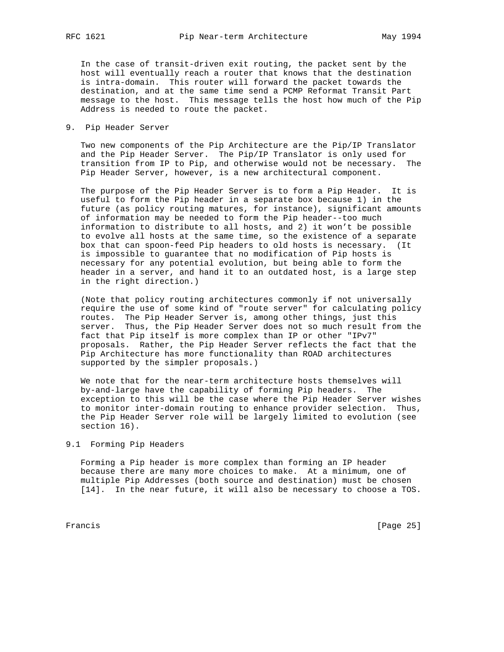In the case of transit-driven exit routing, the packet sent by the host will eventually reach a router that knows that the destination is intra-domain. This router will forward the packet towards the destination, and at the same time send a PCMP Reformat Transit Part message to the host. This message tells the host how much of the Pip Address is needed to route the packet.

9. Pip Header Server

 Two new components of the Pip Architecture are the Pip/IP Translator and the Pip Header Server. The Pip/IP Translator is only used for transition from IP to Pip, and otherwise would not be necessary. The Pip Header Server, however, is a new architectural component.

 The purpose of the Pip Header Server is to form a Pip Header. It is useful to form the Pip header in a separate box because 1) in the future (as policy routing matures, for instance), significant amounts of information may be needed to form the Pip header--too much information to distribute to all hosts, and 2) it won't be possible to evolve all hosts at the same time, so the existence of a separate box that can spoon-feed Pip headers to old hosts is necessary. (It is impossible to guarantee that no modification of Pip hosts is necessary for any potential evolution, but being able to form the header in a server, and hand it to an outdated host, is a large step in the right direction.)

 (Note that policy routing architectures commonly if not universally require the use of some kind of "route server" for calculating policy routes. The Pip Header Server is, among other things, just this server. Thus, the Pip Header Server does not so much result from the fact that Pip itself is more complex than IP or other "IPv7" proposals. Rather, the Pip Header Server reflects the fact that the Pip Architecture has more functionality than ROAD architectures supported by the simpler proposals.)

 We note that for the near-term architecture hosts themselves will by-and-large have the capability of forming Pip headers. The exception to this will be the case where the Pip Header Server wishes to monitor inter-domain routing to enhance provider selection. Thus, the Pip Header Server role will be largely limited to evolution (see section 16).

# 9.1 Forming Pip Headers

 Forming a Pip header is more complex than forming an IP header because there are many more choices to make. At a minimum, one of multiple Pip Addresses (both source and destination) must be chosen [14]. In the near future, it will also be necessary to choose a TOS.

Francis [Page 25]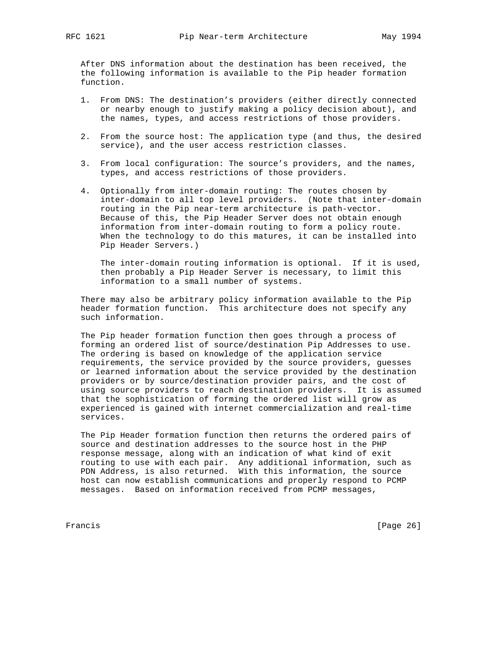After DNS information about the destination has been received, the the following information is available to the Pip header formation function.

- 1. From DNS: The destination's providers (either directly connected or nearby enough to justify making a policy decision about), and the names, types, and access restrictions of those providers.
- 2. From the source host: The application type (and thus, the desired service), and the user access restriction classes.
- 3. From local configuration: The source's providers, and the names, types, and access restrictions of those providers.
- 4. Optionally from inter-domain routing: The routes chosen by inter-domain to all top level providers. (Note that inter-domain routing in the Pip near-term architecture is path-vector. Because of this, the Pip Header Server does not obtain enough information from inter-domain routing to form a policy route. When the technology to do this matures, it can be installed into Pip Header Servers.)

 The inter-domain routing information is optional. If it is used, then probably a Pip Header Server is necessary, to limit this information to a small number of systems.

 There may also be arbitrary policy information available to the Pip header formation function. This architecture does not specify any such information.

 The Pip header formation function then goes through a process of forming an ordered list of source/destination Pip Addresses to use. The ordering is based on knowledge of the application service requirements, the service provided by the source providers, guesses or learned information about the service provided by the destination providers or by source/destination provider pairs, and the cost of using source providers to reach destination providers. It is assumed that the sophistication of forming the ordered list will grow as experienced is gained with internet commercialization and real-time services.

 The Pip Header formation function then returns the ordered pairs of source and destination addresses to the source host in the PHP response message, along with an indication of what kind of exit routing to use with each pair. Any additional information, such as PDN Address, is also returned. With this information, the source host can now establish communications and properly respond to PCMP messages. Based on information received from PCMP messages,

Francis [Page 26]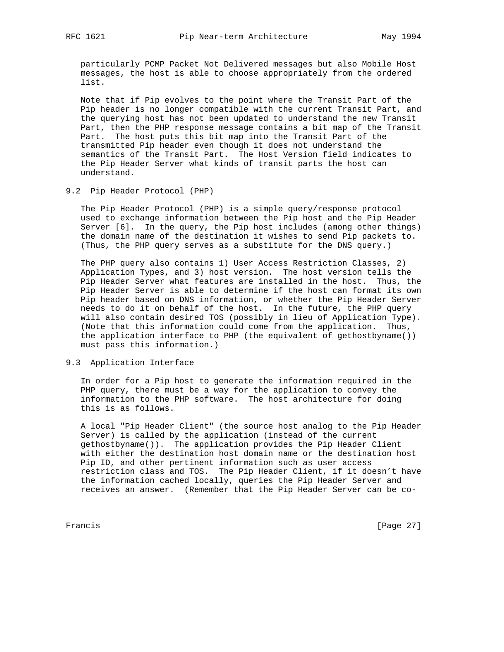particularly PCMP Packet Not Delivered messages but also Mobile Host messages, the host is able to choose appropriately from the ordered list.

 Note that if Pip evolves to the point where the Transit Part of the Pip header is no longer compatible with the current Transit Part, and the querying host has not been updated to understand the new Transit Part, then the PHP response message contains a bit map of the Transit Part. The host puts this bit map into the Transit Part of the transmitted Pip header even though it does not understand the semantics of the Transit Part. The Host Version field indicates to the Pip Header Server what kinds of transit parts the host can understand.

# 9.2 Pip Header Protocol (PHP)

 The Pip Header Protocol (PHP) is a simple query/response protocol used to exchange information between the Pip host and the Pip Header Server [6]. In the query, the Pip host includes (among other things) the domain name of the destination it wishes to send Pip packets to. (Thus, the PHP query serves as a substitute for the DNS query.)

 The PHP query also contains 1) User Access Restriction Classes, 2) Application Types, and 3) host version. The host version tells the Pip Header Server what features are installed in the host. Thus, the Pip Header Server is able to determine if the host can format its own Pip header based on DNS information, or whether the Pip Header Server needs to do it on behalf of the host. In the future, the PHP query will also contain desired TOS (possibly in lieu of Application Type). (Note that this information could come from the application. Thus, the application interface to PHP (the equivalent of gethostbyname()) must pass this information.)

# 9.3 Application Interface

 In order for a Pip host to generate the information required in the PHP query, there must be a way for the application to convey the information to the PHP software. The host architecture for doing this is as follows.

 A local "Pip Header Client" (the source host analog to the Pip Header Server) is called by the application (instead of the current gethostbyname()). The application provides the Pip Header Client with either the destination host domain name or the destination host Pip ID, and other pertinent information such as user access restriction class and TOS. The Pip Header Client, if it doesn't have the information cached locally, queries the Pip Header Server and receives an answer. (Remember that the Pip Header Server can be co-

Francis [Page 27]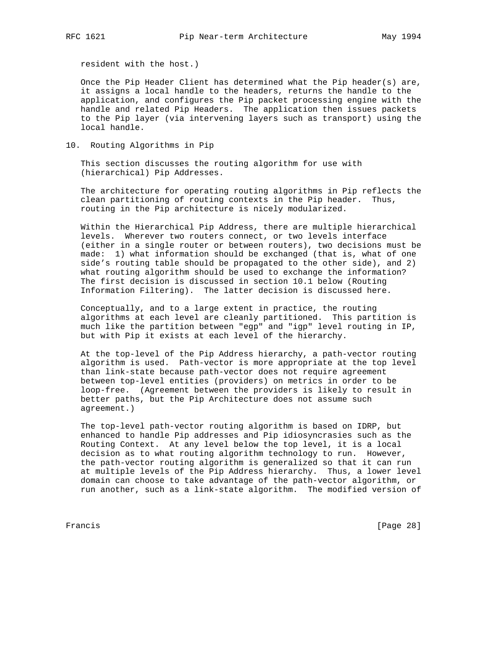resident with the host.)

 Once the Pip Header Client has determined what the Pip header(s) are, it assigns a local handle to the headers, returns the handle to the application, and configures the Pip packet processing engine with the handle and related Pip Headers. The application then issues packets to the Pip layer (via intervening layers such as transport) using the local handle.

10. Routing Algorithms in Pip

 This section discusses the routing algorithm for use with (hierarchical) Pip Addresses.

 The architecture for operating routing algorithms in Pip reflects the clean partitioning of routing contexts in the Pip header. Thus, routing in the Pip architecture is nicely modularized.

 Within the Hierarchical Pip Address, there are multiple hierarchical levels. Wherever two routers connect, or two levels interface (either in a single router or between routers), two decisions must be made: 1) what information should be exchanged (that is, what of one side's routing table should be propagated to the other side), and 2) what routing algorithm should be used to exchange the information? The first decision is discussed in section 10.1 below (Routing Information Filtering). The latter decision is discussed here.

 Conceptually, and to a large extent in practice, the routing algorithms at each level are cleanly partitioned. This partition is much like the partition between "egp" and "igp" level routing in IP, but with Pip it exists at each level of the hierarchy.

 At the top-level of the Pip Address hierarchy, a path-vector routing algorithm is used. Path-vector is more appropriate at the top level than link-state because path-vector does not require agreement between top-level entities (providers) on metrics in order to be loop-free. (Agreement between the providers is likely to result in better paths, but the Pip Architecture does not assume such agreement.)

 The top-level path-vector routing algorithm is based on IDRP, but enhanced to handle Pip addresses and Pip idiosyncrasies such as the Routing Context. At any level below the top level, it is a local decision as to what routing algorithm technology to run. However, the path-vector routing algorithm is generalized so that it can run at multiple levels of the Pip Address hierarchy. Thus, a lower level domain can choose to take advantage of the path-vector algorithm, or run another, such as a link-state algorithm. The modified version of

Francis [Page 28]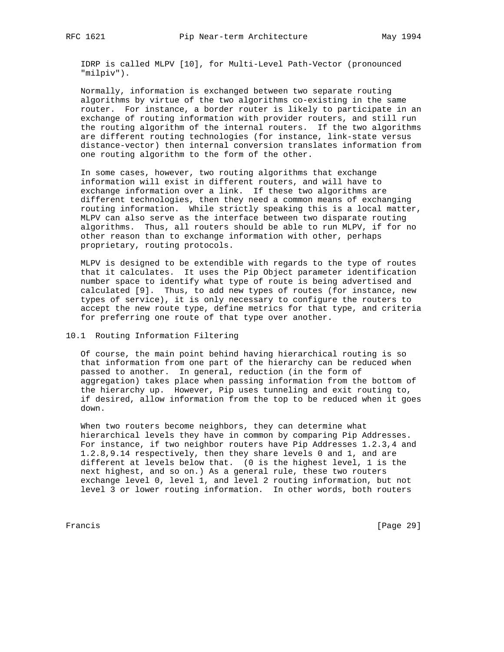IDRP is called MLPV [10], for Multi-Level Path-Vector (pronounced "milpiv").

 Normally, information is exchanged between two separate routing algorithms by virtue of the two algorithms co-existing in the same router. For instance, a border router is likely to participate in an exchange of routing information with provider routers, and still run the routing algorithm of the internal routers. If the two algorithms are different routing technologies (for instance, link-state versus distance-vector) then internal conversion translates information from one routing algorithm to the form of the other.

 In some cases, however, two routing algorithms that exchange information will exist in different routers, and will have to exchange information over a link. If these two algorithms are different technologies, then they need a common means of exchanging routing information. While strictly speaking this is a local matter, MLPV can also serve as the interface between two disparate routing algorithms. Thus, all routers should be able to run MLPV, if for no other reason than to exchange information with other, perhaps proprietary, routing protocols.

 MLPV is designed to be extendible with regards to the type of routes that it calculates. It uses the Pip Object parameter identification number space to identify what type of route is being advertised and calculated [9]. Thus, to add new types of routes (for instance, new types of service), it is only necessary to configure the routers to accept the new route type, define metrics for that type, and criteria for preferring one route of that type over another.

# 10.1 Routing Information Filtering

 Of course, the main point behind having hierarchical routing is so that information from one part of the hierarchy can be reduced when passed to another. In general, reduction (in the form of aggregation) takes place when passing information from the bottom of the hierarchy up. However, Pip uses tunneling and exit routing to, if desired, allow information from the top to be reduced when it goes down.

 When two routers become neighbors, they can determine what hierarchical levels they have in common by comparing Pip Addresses. For instance, if two neighbor routers have Pip Addresses 1.2.3,4 and 1.2.8,9.14 respectively, then they share levels 0 and 1, and are different at levels below that. (0 is the highest level, 1 is the next highest, and so on.) As a general rule, these two routers exchange level 0, level 1, and level 2 routing information, but not level 3 or lower routing information. In other words, both routers

Francis [Page 29]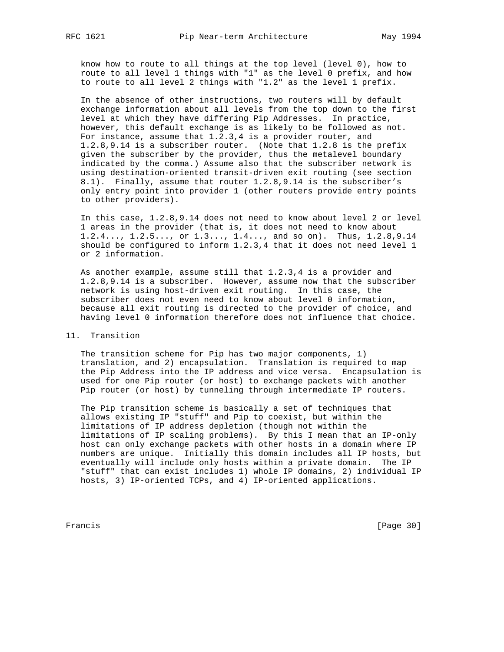know how to route to all things at the top level (level 0), how to route to all level 1 things with "1" as the level 0 prefix, and how to route to all level 2 things with "1.2" as the level 1 prefix.

 In the absence of other instructions, two routers will by default exchange information about all levels from the top down to the first level at which they have differing Pip Addresses. In practice, however, this default exchange is as likely to be followed as not. For instance, assume that 1.2.3,4 is a provider router, and 1.2.8,9.14 is a subscriber router. (Note that 1.2.8 is the prefix given the subscriber by the provider, thus the metalevel boundary indicated by the comma.) Assume also that the subscriber network is using destination-oriented transit-driven exit routing (see section 8.1). Finally, assume that router 1.2.8,9.14 is the subscriber's only entry point into provider 1 (other routers provide entry points to other providers).

 In this case, 1.2.8,9.14 does not need to know about level 2 or level 1 areas in the provider (that is, it does not need to know about 1.2.4..., 1.2.5..., or 1.3..., 1.4..., and so on). Thus, 1.2.8,9.14 should be configured to inform 1.2.3,4 that it does not need level 1 or 2 information.

 As another example, assume still that 1.2.3,4 is a provider and 1.2.8,9.14 is a subscriber. However, assume now that the subscriber network is using host-driven exit routing. In this case, the subscriber does not even need to know about level 0 information, because all exit routing is directed to the provider of choice, and having level 0 information therefore does not influence that choice.

## 11. Transition

 The transition scheme for Pip has two major components, 1) translation, and 2) encapsulation. Translation is required to map the Pip Address into the IP address and vice versa. Encapsulation is used for one Pip router (or host) to exchange packets with another Pip router (or host) by tunneling through intermediate IP routers.

 The Pip transition scheme is basically a set of techniques that allows existing IP "stuff" and Pip to coexist, but within the limitations of IP address depletion (though not within the limitations of IP scaling problems). By this I mean that an IP-only host can only exchange packets with other hosts in a domain where IP numbers are unique. Initially this domain includes all IP hosts, but eventually will include only hosts within a private domain. The IP "stuff" that can exist includes 1) whole IP domains, 2) individual IP hosts, 3) IP-oriented TCPs, and 4) IP-oriented applications.

Francis [Page 30]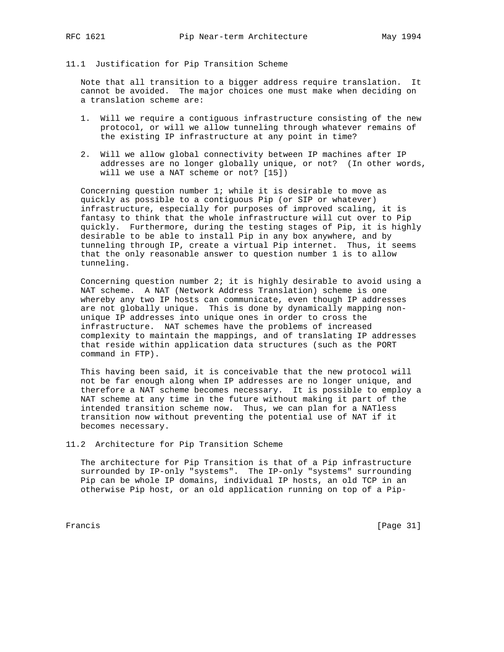### 11.1 Justification for Pip Transition Scheme

 Note that all transition to a bigger address require translation. It cannot be avoided. The major choices one must make when deciding on a translation scheme are:

- 1. Will we require a contiguous infrastructure consisting of the new protocol, or will we allow tunneling through whatever remains of the existing IP infrastructure at any point in time?
- 2. Will we allow global connectivity between IP machines after IP addresses are no longer globally unique, or not? (In other words, will we use a NAT scheme or not? [15])

 Concerning question number 1; while it is desirable to move as quickly as possible to a contiguous Pip (or SIP or whatever) infrastructure, especially for purposes of improved scaling, it is fantasy to think that the whole infrastructure will cut over to Pip quickly. Furthermore, during the testing stages of Pip, it is highly desirable to be able to install Pip in any box anywhere, and by tunneling through IP, create a virtual Pip internet. Thus, it seems that the only reasonable answer to question number 1 is to allow tunneling.

 Concerning question number 2; it is highly desirable to avoid using a NAT scheme. A NAT (Network Address Translation) scheme is one whereby any two IP hosts can communicate, even though IP addresses are not globally unique. This is done by dynamically mapping non unique IP addresses into unique ones in order to cross the infrastructure. NAT schemes have the problems of increased complexity to maintain the mappings, and of translating IP addresses that reside within application data structures (such as the PORT command in FTP).

 This having been said, it is conceivable that the new protocol will not be far enough along when IP addresses are no longer unique, and therefore a NAT scheme becomes necessary. It is possible to employ a NAT scheme at any time in the future without making it part of the intended transition scheme now. Thus, we can plan for a NATless transition now without preventing the potential use of NAT if it becomes necessary.

# 11.2 Architecture for Pip Transition Scheme

 The architecture for Pip Transition is that of a Pip infrastructure surrounded by IP-only "systems". The IP-only "systems" surrounding Pip can be whole IP domains, individual IP hosts, an old TCP in an otherwise Pip host, or an old application running on top of a Pip-

Francis [Page 31]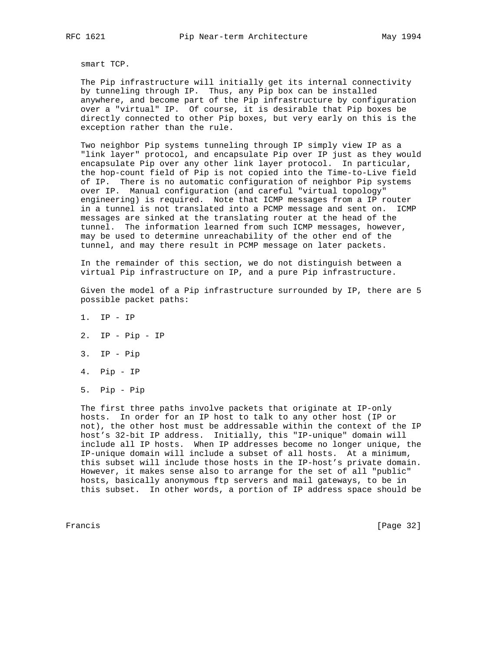smart TCP.

 The Pip infrastructure will initially get its internal connectivity by tunneling through IP. Thus, any Pip box can be installed anywhere, and become part of the Pip infrastructure by configuration over a "virtual" IP. Of course, it is desirable that Pip boxes be directly connected to other Pip boxes, but very early on this is the exception rather than the rule.

 Two neighbor Pip systems tunneling through IP simply view IP as a "link layer" protocol, and encapsulate Pip over IP just as they would encapsulate Pip over any other link layer protocol. In particular, the hop-count field of Pip is not copied into the Time-to-Live field of IP. There is no automatic configuration of neighbor Pip systems over IP. Manual configuration (and careful "virtual topology" engineering) is required. Note that ICMP messages from a IP router in a tunnel is not translated into a PCMP message and sent on. ICMP messages are sinked at the translating router at the head of the tunnel. The information learned from such ICMP messages, however, may be used to determine unreachability of the other end of the tunnel, and may there result in PCMP message on later packets.

 In the remainder of this section, we do not distinguish between a virtual Pip infrastructure on IP, and a pure Pip infrastructure.

 Given the model of a Pip infrastructure surrounded by IP, there are 5 possible packet paths:

- 1. IP IP
- 2. IP Pip IP
- 3. IP Pip
- 4. Pip IP
- 5. Pip Pip

 The first three paths involve packets that originate at IP-only hosts. In order for an IP host to talk to any other host (IP or not), the other host must be addressable within the context of the IP host's 32-bit IP address. Initially, this "IP-unique" domain will include all IP hosts. When IP addresses become no longer unique, the IP-unique domain will include a subset of all hosts. At a minimum, this subset will include those hosts in the IP-host's private domain. However, it makes sense also to arrange for the set of all "public" hosts, basically anonymous ftp servers and mail gateways, to be in this subset. In other words, a portion of IP address space should be

Francis [Page 32]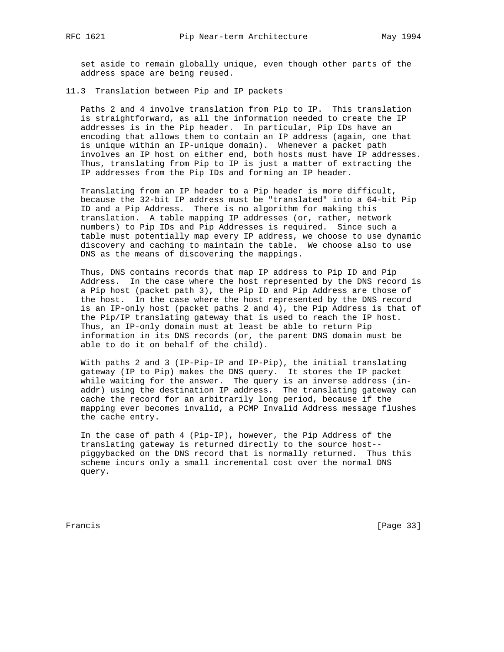set aside to remain globally unique, even though other parts of the address space are being reused.

# 11.3 Translation between Pip and IP packets

 Paths 2 and 4 involve translation from Pip to IP. This translation is straightforward, as all the information needed to create the IP addresses is in the Pip header. In particular, Pip IDs have an encoding that allows them to contain an IP address (again, one that is unique within an IP-unique domain). Whenever a packet path involves an IP host on either end, both hosts must have IP addresses. Thus, translating from Pip to IP is just a matter of extracting the IP addresses from the Pip IDs and forming an IP header.

 Translating from an IP header to a Pip header is more difficult, because the 32-bit IP address must be "translated" into a 64-bit Pip ID and a Pip Address. There is no algorithm for making this translation. A table mapping IP addresses (or, rather, network numbers) to Pip IDs and Pip Addresses is required. Since such a table must potentially map every IP address, we choose to use dynamic discovery and caching to maintain the table. We choose also to use DNS as the means of discovering the mappings.

 Thus, DNS contains records that map IP address to Pip ID and Pip Address. In the case where the host represented by the DNS record is a Pip host (packet path 3), the Pip ID and Pip Address are those of the host. In the case where the host represented by the DNS record is an IP-only host (packet paths 2 and 4), the Pip Address is that of the Pip/IP translating gateway that is used to reach the IP host. Thus, an IP-only domain must at least be able to return Pip information in its DNS records (or, the parent DNS domain must be able to do it on behalf of the child).

 With paths 2 and 3 (IP-Pip-IP and IP-Pip), the initial translating gateway (IP to Pip) makes the DNS query. It stores the IP packet while waiting for the answer. The query is an inverse address (in addr) using the destination IP address. The translating gateway can cache the record for an arbitrarily long period, because if the mapping ever becomes invalid, a PCMP Invalid Address message flushes the cache entry.

 In the case of path 4 (Pip-IP), however, the Pip Address of the translating gateway is returned directly to the source host- piggybacked on the DNS record that is normally returned. Thus this scheme incurs only a small incremental cost over the normal DNS query.

Francis [Page 33]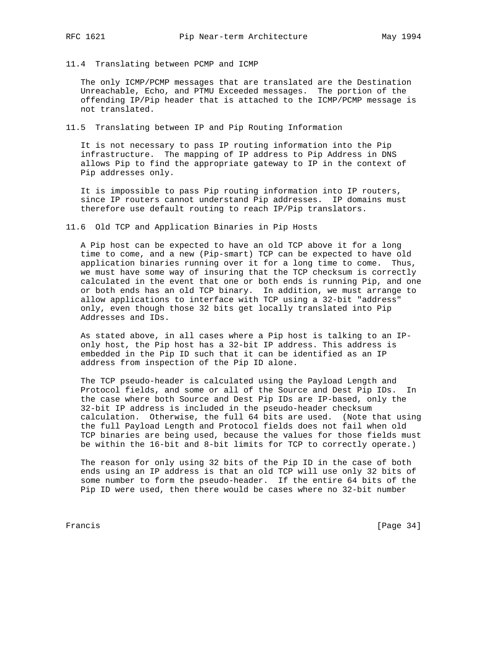- 
- 11.4 Translating between PCMP and ICMP

 The only ICMP/PCMP messages that are translated are the Destination Unreachable, Echo, and PTMU Exceeded messages. The portion of the offending IP/Pip header that is attached to the ICMP/PCMP message is not translated.

11.5 Translating between IP and Pip Routing Information

 It is not necessary to pass IP routing information into the Pip infrastructure. The mapping of IP address to Pip Address in DNS allows Pip to find the appropriate gateway to IP in the context of Pip addresses only.

 It is impossible to pass Pip routing information into IP routers, since IP routers cannot understand Pip addresses. IP domains must therefore use default routing to reach IP/Pip translators.

11.6 Old TCP and Application Binaries in Pip Hosts

 A Pip host can be expected to have an old TCP above it for a long time to come, and a new (Pip-smart) TCP can be expected to have old application binaries running over it for a long time to come. Thus, we must have some way of insuring that the TCP checksum is correctly calculated in the event that one or both ends is running Pip, and one or both ends has an old TCP binary. In addition, we must arrange to allow applications to interface with TCP using a 32-bit "address" only, even though those 32 bits get locally translated into Pip Addresses and IDs.

 As stated above, in all cases where a Pip host is talking to an IP only host, the Pip host has a 32-bit IP address. This address is embedded in the Pip ID such that it can be identified as an IP address from inspection of the Pip ID alone.

 The TCP pseudo-header is calculated using the Payload Length and Protocol fields, and some or all of the Source and Dest Pip IDs. In the case where both Source and Dest Pip IDs are IP-based, only the 32-bit IP address is included in the pseudo-header checksum calculation. Otherwise, the full 64 bits are used. (Note that using the full Payload Length and Protocol fields does not fail when old TCP binaries are being used, because the values for those fields must be within the 16-bit and 8-bit limits for TCP to correctly operate.)

 The reason for only using 32 bits of the Pip ID in the case of both ends using an IP address is that an old TCP will use only 32 bits of some number to form the pseudo-header. If the entire 64 bits of the Pip ID were used, then there would be cases where no 32-bit number

Francis [Page 34]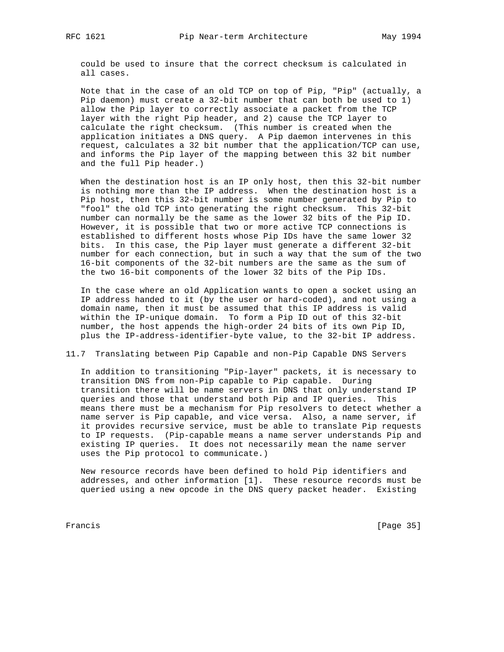could be used to insure that the correct checksum is calculated in all cases.

 Note that in the case of an old TCP on top of Pip, "Pip" (actually, a Pip daemon) must create a 32-bit number that can both be used to 1) allow the Pip layer to correctly associate a packet from the TCP layer with the right Pip header, and 2) cause the TCP layer to calculate the right checksum. (This number is created when the application initiates a DNS query. A Pip daemon intervenes in this request, calculates a 32 bit number that the application/TCP can use, and informs the Pip layer of the mapping between this 32 bit number and the full Pip header.)

 When the destination host is an IP only host, then this 32-bit number is nothing more than the IP address. When the destination host is a Pip host, then this 32-bit number is some number generated by Pip to "fool" the old TCP into generating the right checksum. This 32-bit number can normally be the same as the lower 32 bits of the Pip ID. However, it is possible that two or more active TCP connections is established to different hosts whose Pip IDs have the same lower 32 bits. In this case, the Pip layer must generate a different 32-bit number for each connection, but in such a way that the sum of the two 16-bit components of the 32-bit numbers are the same as the sum of the two 16-bit components of the lower 32 bits of the Pip IDs.

 In the case where an old Application wants to open a socket using an IP address handed to it (by the user or hard-coded), and not using a domain name, then it must be assumed that this IP address is valid within the IP-unique domain. To form a Pip ID out of this 32-bit number, the host appends the high-order 24 bits of its own Pip ID, plus the IP-address-identifier-byte value, to the 32-bit IP address.

# 11.7 Translating between Pip Capable and non-Pip Capable DNS Servers

 In addition to transitioning "Pip-layer" packets, it is necessary to transition DNS from non-Pip capable to Pip capable. During transition there will be name servers in DNS that only understand IP queries and those that understand both Pip and IP queries. This means there must be a mechanism for Pip resolvers to detect whether a name server is Pip capable, and vice versa. Also, a name server, if it provides recursive service, must be able to translate Pip requests to IP requests. (Pip-capable means a name server understands Pip and existing IP queries. It does not necessarily mean the name server uses the Pip protocol to communicate.)

 New resource records have been defined to hold Pip identifiers and addresses, and other information [1]. These resource records must be queried using a new opcode in the DNS query packet header. Existing

Francis [Page 35]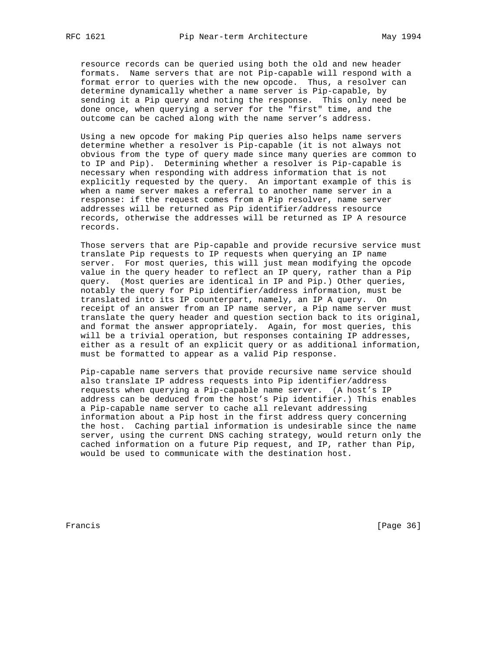resource records can be queried using both the old and new header formats. Name servers that are not Pip-capable will respond with a format error to queries with the new opcode. Thus, a resolver can determine dynamically whether a name server is Pip-capable, by sending it a Pip query and noting the response. This only need be done once, when querying a server for the "first" time, and the outcome can be cached along with the name server's address.

 Using a new opcode for making Pip queries also helps name servers determine whether a resolver is Pip-capable (it is not always not obvious from the type of query made since many queries are common to to IP and Pip). Determining whether a resolver is Pip-capable is necessary when responding with address information that is not explicitly requested by the query. An important example of this is when a name server makes a referral to another name server in a response: if the request comes from a Pip resolver, name server addresses will be returned as Pip identifier/address resource records, otherwise the addresses will be returned as IP A resource records.

 Those servers that are Pip-capable and provide recursive service must translate Pip requests to IP requests when querying an IP name server. For most queries, this will just mean modifying the opcode value in the query header to reflect an IP query, rather than a Pip query. (Most queries are identical in IP and Pip.) Other queries, notably the query for Pip identifier/address information, must be translated into its IP counterpart, namely, an IP A query. On receipt of an answer from an IP name server, a Pip name server must translate the query header and question section back to its original, and format the answer appropriately. Again, for most queries, this will be a trivial operation, but responses containing IP addresses, either as a result of an explicit query or as additional information, must be formatted to appear as a valid Pip response.

 Pip-capable name servers that provide recursive name service should also translate IP address requests into Pip identifier/address requests when querying a Pip-capable name server. (A host's IP address can be deduced from the host's Pip identifier.) This enables a Pip-capable name server to cache all relevant addressing information about a Pip host in the first address query concerning the host. Caching partial information is undesirable since the name server, using the current DNS caching strategy, would return only the cached information on a future Pip request, and IP, rather than Pip, would be used to communicate with the destination host.

Francis [Page 36]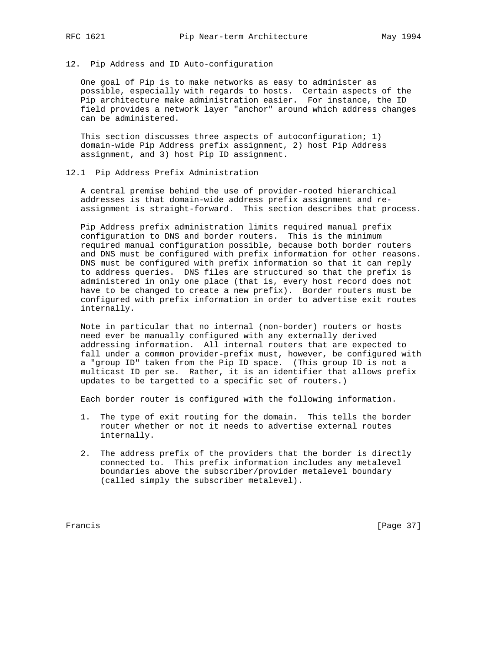# 12. Pip Address and ID Auto-configuration

 One goal of Pip is to make networks as easy to administer as possible, especially with regards to hosts. Certain aspects of the Pip architecture make administration easier. For instance, the ID field provides a network layer "anchor" around which address changes can be administered.

 This section discusses three aspects of autoconfiguration; 1) domain-wide Pip Address prefix assignment, 2) host Pip Address assignment, and 3) host Pip ID assignment.

# 12.1 Pip Address Prefix Administration

 A central premise behind the use of provider-rooted hierarchical addresses is that domain-wide address prefix assignment and re assignment is straight-forward. This section describes that process.

 Pip Address prefix administration limits required manual prefix configuration to DNS and border routers. This is the minimum required manual configuration possible, because both border routers and DNS must be configured with prefix information for other reasons. DNS must be configured with prefix information so that it can reply to address queries. DNS files are structured so that the prefix is administered in only one place (that is, every host record does not have to be changed to create a new prefix). Border routers must be configured with prefix information in order to advertise exit routes internally.

 Note in particular that no internal (non-border) routers or hosts need ever be manually configured with any externally derived addressing information. All internal routers that are expected to fall under a common provider-prefix must, however, be configured with a "group ID" taken from the Pip ID space. (This group ID is not a multicast ID per se. Rather, it is an identifier that allows prefix updates to be targetted to a specific set of routers.)

Each border router is configured with the following information.

- 1. The type of exit routing for the domain. This tells the border router whether or not it needs to advertise external routes internally.
- 2. The address prefix of the providers that the border is directly connected to. This prefix information includes any metalevel boundaries above the subscriber/provider metalevel boundary (called simply the subscriber metalevel).

Francis [Page 37]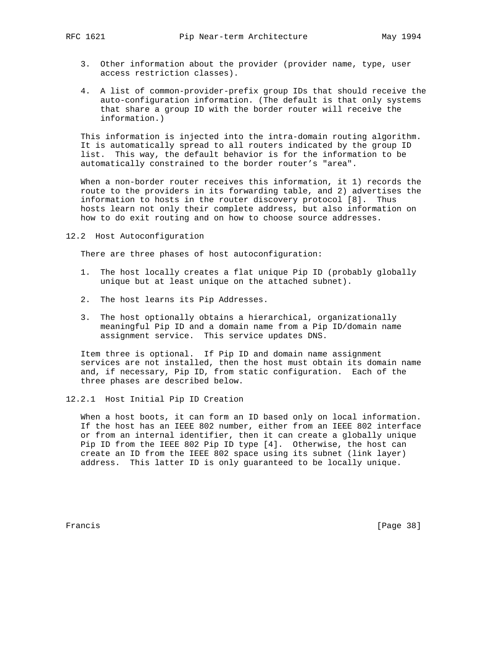- 3. Other information about the provider (provider name, type, user access restriction classes).
- 4. A list of common-provider-prefix group IDs that should receive the auto-configuration information. (The default is that only systems that share a group ID with the border router will receive the information.)

 This information is injected into the intra-domain routing algorithm. It is automatically spread to all routers indicated by the group ID list. This way, the default behavior is for the information to be automatically constrained to the border router's "area".

 When a non-border router receives this information, it 1) records the route to the providers in its forwarding table, and 2) advertises the information to hosts in the router discovery protocol [8]. Thus hosts learn not only their complete address, but also information on how to do exit routing and on how to choose source addresses.

12.2 Host Autoconfiguration

There are three phases of host autoconfiguration:

- 1. The host locally creates a flat unique Pip ID (probably globally unique but at least unique on the attached subnet).
- 2. The host learns its Pip Addresses.
- 3. The host optionally obtains a hierarchical, organizationally meaningful Pip ID and a domain name from a Pip ID/domain name assignment service. This service updates DNS.

 Item three is optional. If Pip ID and domain name assignment services are not installed, then the host must obtain its domain name and, if necessary, Pip ID, from static configuration. Each of the three phases are described below.

12.2.1 Host Initial Pip ID Creation

 When a host boots, it can form an ID based only on local information. If the host has an IEEE 802 number, either from an IEEE 802 interface or from an internal identifier, then it can create a globally unique Pip ID from the IEEE 802 Pip ID type [4]. Otherwise, the host can create an ID from the IEEE 802 space using its subnet (link layer) address. This latter ID is only guaranteed to be locally unique.

Francis [Page 38]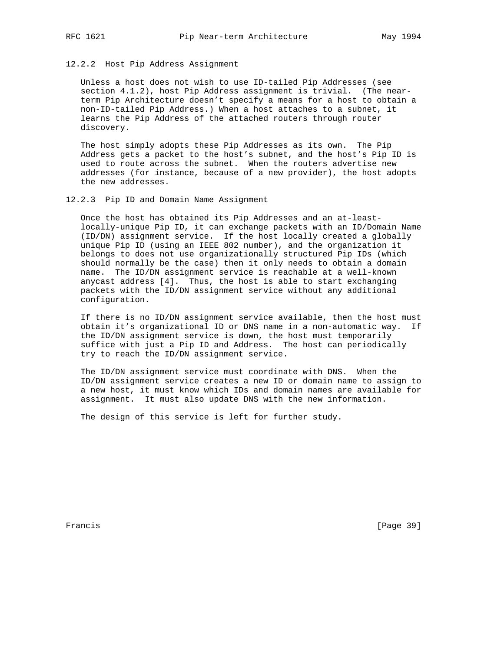# 12.2.2 Host Pip Address Assignment

 Unless a host does not wish to use ID-tailed Pip Addresses (see section 4.1.2), host Pip Address assignment is trivial. (The near term Pip Architecture doesn't specify a means for a host to obtain a non-ID-tailed Pip Address.) When a host attaches to a subnet, it learns the Pip Address of the attached routers through router discovery.

 The host simply adopts these Pip Addresses as its own. The Pip Address gets a packet to the host's subnet, and the host's Pip ID is used to route across the subnet. When the routers advertise new addresses (for instance, because of a new provider), the host adopts the new addresses.

# 12.2.3 Pip ID and Domain Name Assignment

 Once the host has obtained its Pip Addresses and an at-least locally-unique Pip ID, it can exchange packets with an ID/Domain Name (ID/DN) assignment service. If the host locally created a globally unique Pip ID (using an IEEE 802 number), and the organization it belongs to does not use organizationally structured Pip IDs (which should normally be the case) then it only needs to obtain a domain name. The ID/DN assignment service is reachable at a well-known anycast address [4]. Thus, the host is able to start exchanging packets with the ID/DN assignment service without any additional configuration.

 If there is no ID/DN assignment service available, then the host must obtain it's organizational ID or DNS name in a non-automatic way. If the ID/DN assignment service is down, the host must temporarily suffice with just a Pip ID and Address. The host can periodically try to reach the ID/DN assignment service.

 The ID/DN assignment service must coordinate with DNS. When the ID/DN assignment service creates a new ID or domain name to assign to a new host, it must know which IDs and domain names are available for assignment. It must also update DNS with the new information.

The design of this service is left for further study.

Francis [Page 39]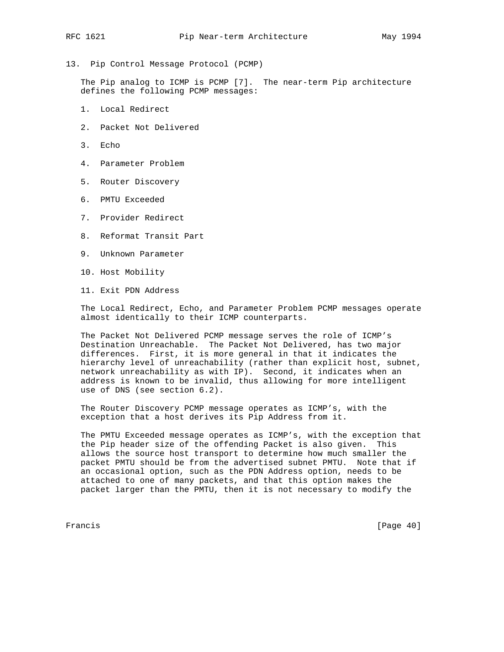13. Pip Control Message Protocol (PCMP)

 The Pip analog to ICMP is PCMP [7]. The near-term Pip architecture defines the following PCMP messages:

- 1. Local Redirect
- 2. Packet Not Delivered
- 3. Echo
- 4. Parameter Problem
- 5. Router Discovery
- 6. PMTU Exceeded
- 7. Provider Redirect
- 8. Reformat Transit Part
- 9. Unknown Parameter
- 10. Host Mobility
- 11. Exit PDN Address

 The Local Redirect, Echo, and Parameter Problem PCMP messages operate almost identically to their ICMP counterparts.

 The Packet Not Delivered PCMP message serves the role of ICMP's Destination Unreachable. The Packet Not Delivered, has two major differences. First, it is more general in that it indicates the hierarchy level of unreachability (rather than explicit host, subnet, network unreachability as with IP). Second, it indicates when an address is known to be invalid, thus allowing for more intelligent use of DNS (see section 6.2).

 The Router Discovery PCMP message operates as ICMP's, with the exception that a host derives its Pip Address from it.

 The PMTU Exceeded message operates as ICMP's, with the exception that the Pip header size of the offending Packet is also given. This allows the source host transport to determine how much smaller the packet PMTU should be from the advertised subnet PMTU. Note that if an occasional option, such as the PDN Address option, needs to be attached to one of many packets, and that this option makes the packet larger than the PMTU, then it is not necessary to modify the

Francis [Page 40]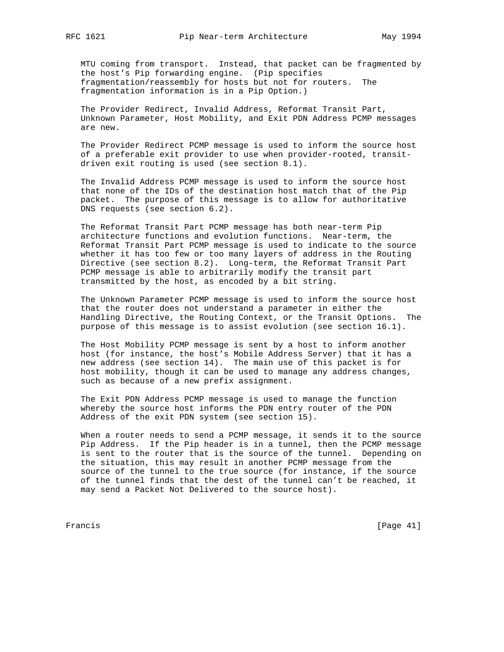MTU coming from transport. Instead, that packet can be fragmented by the host's Pip forwarding engine. (Pip specifies fragmentation/reassembly for hosts but not for routers. The fragmentation information is in a Pip Option.)

 The Provider Redirect, Invalid Address, Reformat Transit Part, Unknown Parameter, Host Mobility, and Exit PDN Address PCMP messages are new.

 The Provider Redirect PCMP message is used to inform the source host of a preferable exit provider to use when provider-rooted, transit driven exit routing is used (see section 8.1).

 The Invalid Address PCMP message is used to inform the source host that none of the IDs of the destination host match that of the Pip packet. The purpose of this message is to allow for authoritative DNS requests (see section 6.2).

 The Reformat Transit Part PCMP message has both near-term Pip architecture functions and evolution functions. Near-term, the Reformat Transit Part PCMP message is used to indicate to the source whether it has too few or too many layers of address in the Routing Directive (see section 8.2). Long-term, the Reformat Transit Part PCMP message is able to arbitrarily modify the transit part transmitted by the host, as encoded by a bit string.

 The Unknown Parameter PCMP message is used to inform the source host that the router does not understand a parameter in either the Handling Directive, the Routing Context, or the Transit Options. The purpose of this message is to assist evolution (see section 16.1).

 The Host Mobility PCMP message is sent by a host to inform another host (for instance, the host's Mobile Address Server) that it has a new address (see section 14). The main use of this packet is for host mobility, though it can be used to manage any address changes, such as because of a new prefix assignment.

 The Exit PDN Address PCMP message is used to manage the function whereby the source host informs the PDN entry router of the PDN Address of the exit PDN system (see section 15).

 When a router needs to send a PCMP message, it sends it to the source Pip Address. If the Pip header is in a tunnel, then the PCMP message is sent to the router that is the source of the tunnel. Depending on the situation, this may result in another PCMP message from the source of the tunnel to the true source (for instance, if the source of the tunnel finds that the dest of the tunnel can't be reached, it may send a Packet Not Delivered to the source host).

Francis [Page 41]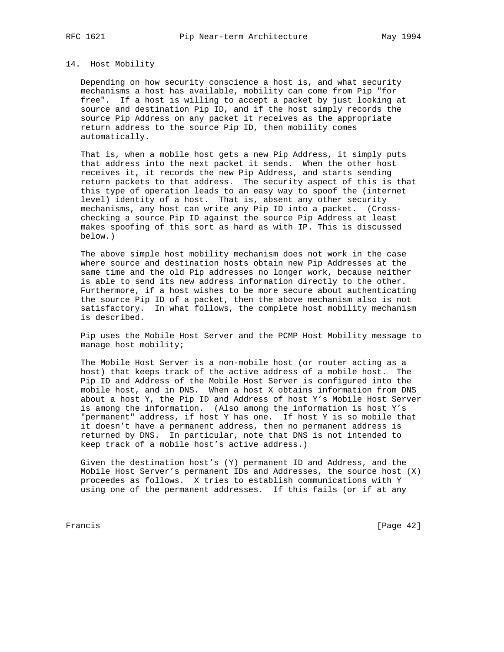#### 14. Host Mobility

 Depending on how security conscience a host is, and what security mechanisms a host has available, mobility can come from Pip "for free". If a host is willing to accept a packet by just looking at source and destination Pip ID, and if the host simply records the source Pip Address on any packet it receives as the appropriate return address to the source Pip ID, then mobility comes automatically.

 That is, when a mobile host gets a new Pip Address, it simply puts that address into the next packet it sends. When the other host receives it, it records the new Pip Address, and starts sending return packets to that address. The security aspect of this is that this type of operation leads to an easy way to spoof the (internet level) identity of a host. That is, absent any other security mechanisms, any host can write any Pip ID into a packet. (Cross checking a source Pip ID against the source Pip Address at least makes spoofing of this sort as hard as with IP. This is discussed below.)

 The above simple host mobility mechanism does not work in the case where source and destination hosts obtain new Pip Addresses at the same time and the old Pip addresses no longer work, because neither is able to send its new address information directly to the other. Furthermore, if a host wishes to be more secure about authenticating the source Pip ID of a packet, then the above mechanism also is not satisfactory. In what follows, the complete host mobility mechanism is described.

 Pip uses the Mobile Host Server and the PCMP Host Mobility message to manage host mobility;

 The Mobile Host Server is a non-mobile host (or router acting as a host) that keeps track of the active address of a mobile host. The Pip ID and Address of the Mobile Host Server is configured into the mobile host, and in DNS. When a host X obtains information from DNS about a host Y, the Pip ID and Address of host Y's Mobile Host Server is among the information. (Also among the information is host Y's "permanent" address, if host Y has one. If host Y is so mobile that it doesn't have a permanent address, then no permanent address is returned by DNS. In particular, note that DNS is not intended to keep track of a mobile host's active address.)

 Given the destination host's (Y) permanent ID and Address, and the Mobile Host Server's permanent IDs and Addresses, the source host (X) proceedes as follows. X tries to establish communications with Y using one of the permanent addresses. If this fails (or if at any

Francis [Page 42]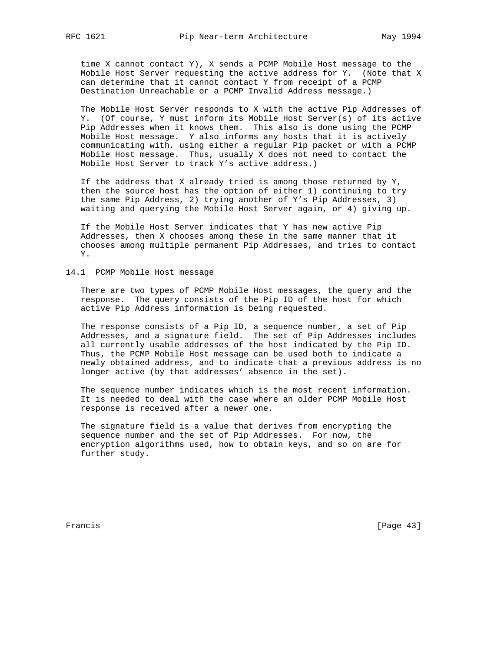time X cannot contact Y), X sends a PCMP Mobile Host message to the Mobile Host Server requesting the active address for Y. (Note that X can determine that it cannot contact Y from receipt of a PCMP Destination Unreachable or a PCMP Invalid Address message.)

 The Mobile Host Server responds to X with the active Pip Addresses of Y. (Of course, Y must inform its Mobile Host Server(s) of its active Pip Addresses when it knows them. This also is done using the PCMP Mobile Host message. Y also informs any hosts that it is actively communicating with, using either a regular Pip packet or with a PCMP Mobile Host message. Thus, usually X does not need to contact the Mobile Host Server to track Y's active address.)

If the address that X already tried is among those returned by  $Y$ , then the source host has the option of either 1) continuing to try the same Pip Address, 2) trying another of Y's Pip Addresses, 3) waiting and querying the Mobile Host Server again, or 4) giving up.

 If the Mobile Host Server indicates that Y has new active Pip Addresses, then X chooses among these in the same manner that it chooses among multiple permanent Pip Addresses, and tries to contact Y.

# 14.1 PCMP Mobile Host message

 There are two types of PCMP Mobile Host messages, the query and the response. The query consists of the Pip ID of the host for which active Pip Address information is being requested.

 The response consists of a Pip ID, a sequence number, a set of Pip Addresses, and a signature field. The set of Pip Addresses includes all currently usable addresses of the host indicated by the Pip ID. Thus, the PCMP Mobile Host message can be used both to indicate a newly obtained address, and to indicate that a previous address is no longer active (by that addresses' absence in the set).

 The sequence number indicates which is the most recent information. It is needed to deal with the case where an older PCMP Mobile Host response is received after a newer one.

 The signature field is a value that derives from encrypting the sequence number and the set of Pip Addresses. For now, the encryption algorithms used, how to obtain keys, and so on are for further study.

Francis [Page 43]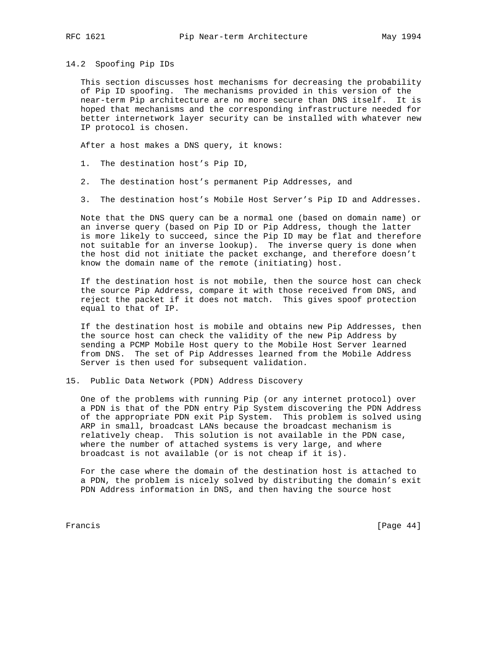14.2 Spoofing Pip IDs

 This section discusses host mechanisms for decreasing the probability of Pip ID spoofing. The mechanisms provided in this version of the near-term Pip architecture are no more secure than DNS itself. It is hoped that mechanisms and the corresponding infrastructure needed for better internetwork layer security can be installed with whatever new IP protocol is chosen.

After a host makes a DNS query, it knows:

- 1. The destination host's Pip ID,
- 2. The destination host's permanent Pip Addresses, and
- 3. The destination host's Mobile Host Server's Pip ID and Addresses.

 Note that the DNS query can be a normal one (based on domain name) or an inverse query (based on Pip ID or Pip Address, though the latter is more likely to succeed, since the Pip ID may be flat and therefore not suitable for an inverse lookup). The inverse query is done when the host did not initiate the packet exchange, and therefore doesn't know the domain name of the remote (initiating) host.

 If the destination host is not mobile, then the source host can check the source Pip Address, compare it with those received from DNS, and reject the packet if it does not match. This gives spoof protection equal to that of IP.

 If the destination host is mobile and obtains new Pip Addresses, then the source host can check the validity of the new Pip Address by sending a PCMP Mobile Host query to the Mobile Host Server learned from DNS. The set of Pip Addresses learned from the Mobile Address Server is then used for subsequent validation.

15. Public Data Network (PDN) Address Discovery

 One of the problems with running Pip (or any internet protocol) over a PDN is that of the PDN entry Pip System discovering the PDN Address of the appropriate PDN exit Pip System. This problem is solved using ARP in small, broadcast LANs because the broadcast mechanism is relatively cheap. This solution is not available in the PDN case, where the number of attached systems is very large, and where broadcast is not available (or is not cheap if it is).

 For the case where the domain of the destination host is attached to a PDN, the problem is nicely solved by distributing the domain's exit PDN Address information in DNS, and then having the source host

Francis [Page 44]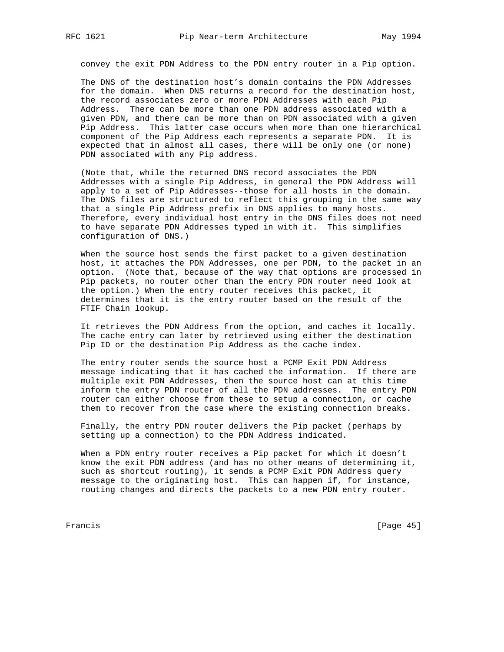convey the exit PDN Address to the PDN entry router in a Pip option.

 The DNS of the destination host's domain contains the PDN Addresses for the domain. When DNS returns a record for the destination host, the record associates zero or more PDN Addresses with each Pip Address. There can be more than one PDN address associated with a given PDN, and there can be more than on PDN associated with a given Pip Address. This latter case occurs when more than one hierarchical component of the Pip Address each represents a separate PDN. It is expected that in almost all cases, there will be only one (or none) PDN associated with any Pip address.

 (Note that, while the returned DNS record associates the PDN Addresses with a single Pip Address, in general the PDN Address will apply to a set of Pip Addresses--those for all hosts in the domain. The DNS files are structured to reflect this grouping in the same way that a single Pip Address prefix in DNS applies to many hosts. Therefore, every individual host entry in the DNS files does not need to have separate PDN Addresses typed in with it. This simplifies configuration of DNS.)

 When the source host sends the first packet to a given destination host, it attaches the PDN Addresses, one per PDN, to the packet in an option. (Note that, because of the way that options are processed in Pip packets, no router other than the entry PDN router need look at the option.) When the entry router receives this packet, it determines that it is the entry router based on the result of the FTIF Chain lookup.

 It retrieves the PDN Address from the option, and caches it locally. The cache entry can later by retrieved using either the destination Pip ID or the destination Pip Address as the cache index.

 The entry router sends the source host a PCMP Exit PDN Address message indicating that it has cached the information. If there are multiple exit PDN Addresses, then the source host can at this time inform the entry PDN router of all the PDN addresses. The entry PDN router can either choose from these to setup a connection, or cache them to recover from the case where the existing connection breaks.

 Finally, the entry PDN router delivers the Pip packet (perhaps by setting up a connection) to the PDN Address indicated.

 When a PDN entry router receives a Pip packet for which it doesn't know the exit PDN address (and has no other means of determining it, such as shortcut routing), it sends a PCMP Exit PDN Address query message to the originating host. This can happen if, for instance, routing changes and directs the packets to a new PDN entry router.

Francis [Page 45]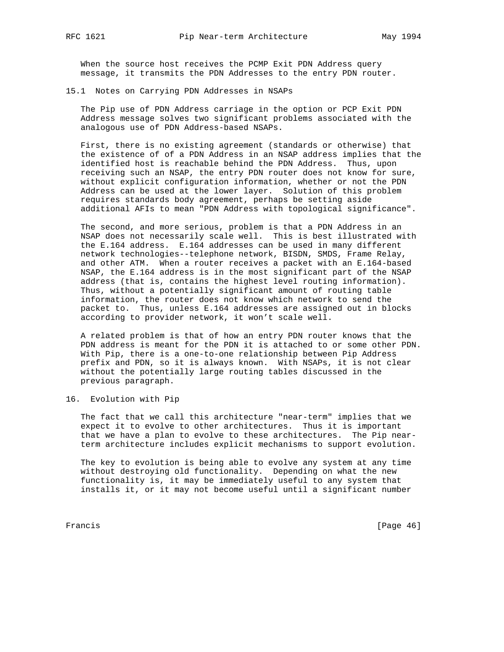When the source host receives the PCMP Exit PDN Address query message, it transmits the PDN Addresses to the entry PDN router.

15.1 Notes on Carrying PDN Addresses in NSAPs

 The Pip use of PDN Address carriage in the option or PCP Exit PDN Address message solves two significant problems associated with the analogous use of PDN Address-based NSAPs.

 First, there is no existing agreement (standards or otherwise) that the existence of of a PDN Address in an NSAP address implies that the identified host is reachable behind the PDN Address. Thus, upon receiving such an NSAP, the entry PDN router does not know for sure, without explicit configuration information, whether or not the PDN Address can be used at the lower layer. Solution of this problem requires standards body agreement, perhaps be setting aside additional AFIs to mean "PDN Address with topological significance".

 The second, and more serious, problem is that a PDN Address in an NSAP does not necessarily scale well. This is best illustrated with the E.164 address. E.164 addresses can be used in many different network technologies--telephone network, BISDN, SMDS, Frame Relay, and other ATM. When a router receives a packet with an E.164-based NSAP, the E.164 address is in the most significant part of the NSAP address (that is, contains the highest level routing information). Thus, without a potentially significant amount of routing table information, the router does not know which network to send the packet to. Thus, unless E.164 addresses are assigned out in blocks according to provider network, it won't scale well.

 A related problem is that of how an entry PDN router knows that the PDN address is meant for the PDN it is attached to or some other PDN. With Pip, there is a one-to-one relationship between Pip Address prefix and PDN, so it is always known. With NSAPs, it is not clear without the potentially large routing tables discussed in the previous paragraph.

16. Evolution with Pip

 The fact that we call this architecture "near-term" implies that we expect it to evolve to other architectures. Thus it is important that we have a plan to evolve to these architectures. The Pip near term architecture includes explicit mechanisms to support evolution.

 The key to evolution is being able to evolve any system at any time without destroying old functionality. Depending on what the new functionality is, it may be immediately useful to any system that installs it, or it may not become useful until a significant number

Francis [Page 46]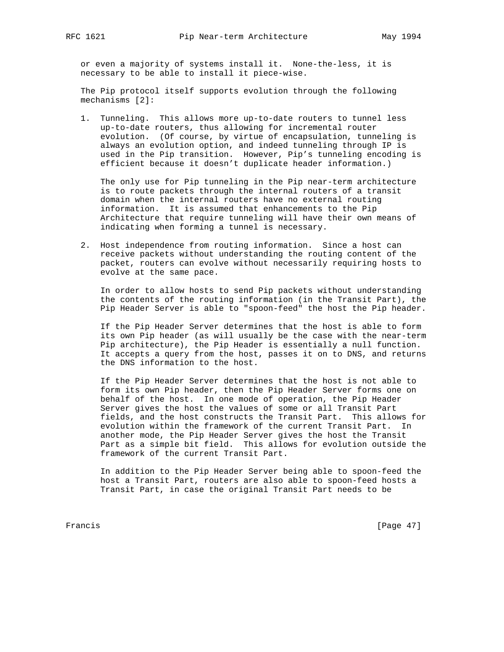or even a majority of systems install it. None-the-less, it is necessary to be able to install it piece-wise.

 The Pip protocol itself supports evolution through the following mechanisms [2]:

 1. Tunneling. This allows more up-to-date routers to tunnel less up-to-date routers, thus allowing for incremental router evolution. (Of course, by virtue of encapsulation, tunneling is always an evolution option, and indeed tunneling through IP is used in the Pip transition. However, Pip's tunneling encoding is efficient because it doesn't duplicate header information.)

 The only use for Pip tunneling in the Pip near-term architecture is to route packets through the internal routers of a transit domain when the internal routers have no external routing information. It is assumed that enhancements to the Pip Architecture that require tunneling will have their own means of indicating when forming a tunnel is necessary.

 2. Host independence from routing information. Since a host can receive packets without understanding the routing content of the packet, routers can evolve without necessarily requiring hosts to evolve at the same pace.

 In order to allow hosts to send Pip packets without understanding the contents of the routing information (in the Transit Part), the Pip Header Server is able to "spoon-feed" the host the Pip header.

 If the Pip Header Server determines that the host is able to form its own Pip header (as will usually be the case with the near-term Pip architecture), the Pip Header is essentially a null function. It accepts a query from the host, passes it on to DNS, and returns the DNS information to the host.

 If the Pip Header Server determines that the host is not able to form its own Pip header, then the Pip Header Server forms one on behalf of the host. In one mode of operation, the Pip Header Server gives the host the values of some or all Transit Part fields, and the host constructs the Transit Part. This allows for evolution within the framework of the current Transit Part. In another mode, the Pip Header Server gives the host the Transit Part as a simple bit field. This allows for evolution outside the framework of the current Transit Part.

 In addition to the Pip Header Server being able to spoon-feed the host a Transit Part, routers are also able to spoon-feed hosts a Transit Part, in case the original Transit Part needs to be

Francis [Page 47]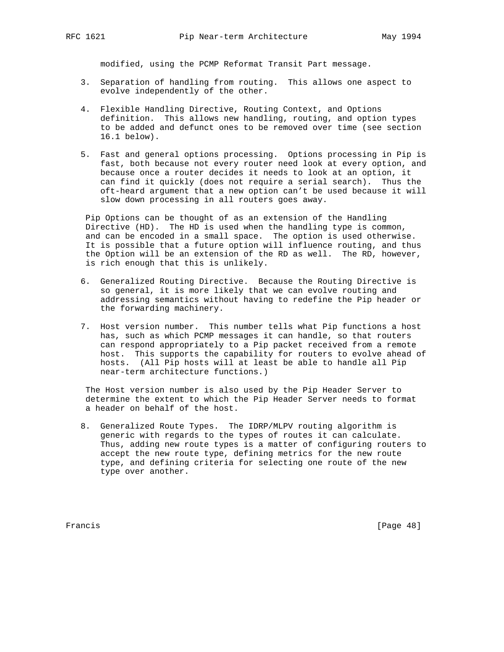modified, using the PCMP Reformat Transit Part message.

- 3. Separation of handling from routing. This allows one aspect to evolve independently of the other.
- 4. Flexible Handling Directive, Routing Context, and Options definition. This allows new handling, routing, and option types to be added and defunct ones to be removed over time (see section 16.1 below).
- 5. Fast and general options processing. Options processing in Pip is fast, both because not every router need look at every option, and because once a router decides it needs to look at an option, it can find it quickly (does not require a serial search). Thus the oft-heard argument that a new option can't be used because it will slow down processing in all routers goes away.

 Pip Options can be thought of as an extension of the Handling Directive (HD). The HD is used when the handling type is common, and can be encoded in a small space. The option is used otherwise. It is possible that a future option will influence routing, and thus the Option will be an extension of the RD as well. The RD, however, is rich enough that this is unlikely.

- 6. Generalized Routing Directive. Because the Routing Directive is so general, it is more likely that we can evolve routing and addressing semantics without having to redefine the Pip header or the forwarding machinery.
- 7. Host version number. This number tells what Pip functions a host has, such as which PCMP messages it can handle, so that routers can respond appropriately to a Pip packet received from a remote host. This supports the capability for routers to evolve ahead of hosts. (All Pip hosts will at least be able to handle all Pip near-term architecture functions.)

 The Host version number is also used by the Pip Header Server to determine the extent to which the Pip Header Server needs to format a header on behalf of the host.

 8. Generalized Route Types. The IDRP/MLPV routing algorithm is generic with regards to the types of routes it can calculate. Thus, adding new route types is a matter of configuring routers to accept the new route type, defining metrics for the new route type, and defining criteria for selecting one route of the new type over another.

Francis [Page 48]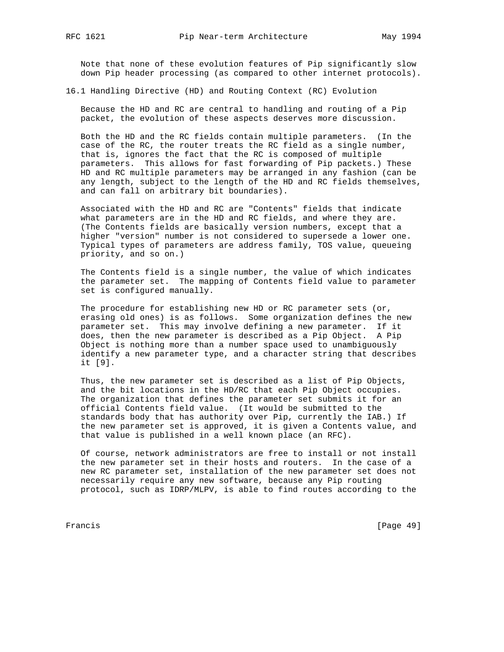Note that none of these evolution features of Pip significantly slow down Pip header processing (as compared to other internet protocols).

16.1 Handling Directive (HD) and Routing Context (RC) Evolution

 Because the HD and RC are central to handling and routing of a Pip packet, the evolution of these aspects deserves more discussion.

 Both the HD and the RC fields contain multiple parameters. (In the case of the RC, the router treats the RC field as a single number, that is, ignores the fact that the RC is composed of multiple parameters. This allows for fast forwarding of Pip packets.) These HD and RC multiple parameters may be arranged in any fashion (can be any length, subject to the length of the HD and RC fields themselves, and can fall on arbitrary bit boundaries).

 Associated with the HD and RC are "Contents" fields that indicate what parameters are in the HD and RC fields, and where they are. (The Contents fields are basically version numbers, except that a higher "version" number is not considered to supersede a lower one. Typical types of parameters are address family, TOS value, queueing priority, and so on.)

 The Contents field is a single number, the value of which indicates the parameter set. The mapping of Contents field value to parameter set is configured manually.

 The procedure for establishing new HD or RC parameter sets (or, erasing old ones) is as follows. Some organization defines the new parameter set. This may involve defining a new parameter. If it does, then the new parameter is described as a Pip Object. A Pip Object is nothing more than a number space used to unambiguously identify a new parameter type, and a character string that describes it [9].

 Thus, the new parameter set is described as a list of Pip Objects, and the bit locations in the HD/RC that each Pip Object occupies. The organization that defines the parameter set submits it for an official Contents field value. (It would be submitted to the standards body that has authority over Pip, currently the IAB.) If the new parameter set is approved, it is given a Contents value, and that value is published in a well known place (an RFC).

 Of course, network administrators are free to install or not install the new parameter set in their hosts and routers. In the case of a new RC parameter set, installation of the new parameter set does not necessarily require any new software, because any Pip routing protocol, such as IDRP/MLPV, is able to find routes according to the

Francis [Page 49]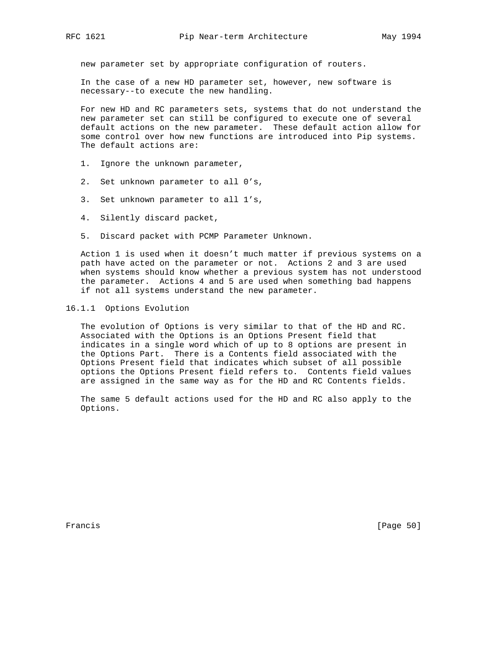new parameter set by appropriate configuration of routers.

 In the case of a new HD parameter set, however, new software is necessary--to execute the new handling.

 For new HD and RC parameters sets, systems that do not understand the new parameter set can still be configured to execute one of several default actions on the new parameter. These default action allow for some control over how new functions are introduced into Pip systems. The default actions are:

- 1. Ignore the unknown parameter,
- 2. Set unknown parameter to all 0's,
- 3. Set unknown parameter to all 1's,
- 4. Silently discard packet,
- 5. Discard packet with PCMP Parameter Unknown.

 Action 1 is used when it doesn't much matter if previous systems on a path have acted on the parameter or not. Actions 2 and 3 are used when systems should know whether a previous system has not understood the parameter. Actions 4 and 5 are used when something bad happens if not all systems understand the new parameter.

# 16.1.1 Options Evolution

 The evolution of Options is very similar to that of the HD and RC. Associated with the Options is an Options Present field that indicates in a single word which of up to 8 options are present in the Options Part. There is a Contents field associated with the Options Present field that indicates which subset of all possible options the Options Present field refers to. Contents field values are assigned in the same way as for the HD and RC Contents fields.

 The same 5 default actions used for the HD and RC also apply to the Options.

Francis [Page 50]